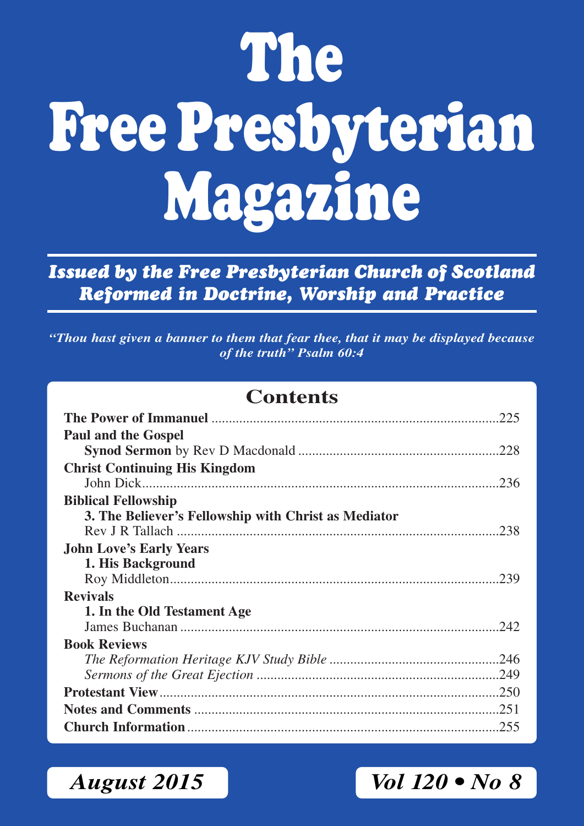# **The Free Presbyterian Magazine**

*Issued by the Free Presbyterian Church of Scotland Reformed in Doctrine, Worship and Practice*

*"Thou hast given a banner to them that fear thee, that it may be displayed because of the truth" Psalm 60:4*

## **Contents**

| <b>Paul and the Gospel</b>                           |
|------------------------------------------------------|
|                                                      |
| <b>Christ Continuing His Kingdom</b>                 |
|                                                      |
| <b>Biblical Fellowship</b>                           |
| 3. The Believer's Fellowship with Christ as Mediator |
|                                                      |
| <b>John Love's Early Years</b>                       |
| 1. His Background                                    |
|                                                      |
| <b>Revivals</b>                                      |
| 1. In the Old Testament Age                          |
|                                                      |
| <b>Book Reviews</b>                                  |
|                                                      |
|                                                      |
|                                                      |
|                                                      |
|                                                      |

*August 2015 Vol 120 • No 8*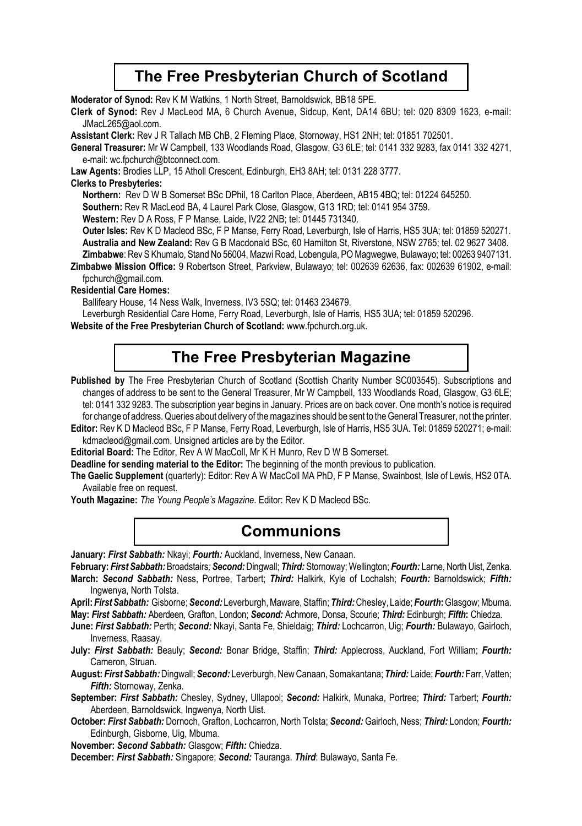### **The Free Presbyterian Church of Scotland**

**Moderator of Synod:** Rev K M Watkins, 1 North Street, Barnoldswick, BB18 5PE.

**Clerk of Synod:** Rev J MacLeod MA, 6 Church Avenue, Sidcup, Kent, DA14 6BU; tel: 020 8309 1623, e-mail: JMacL265@aol.com.

**Assistant Clerk:** Rev J R Tallach MB ChB, 2 Fleming Place, Stornoway, HS1 2NH; tel: 01851 702501.

**General Treasurer:** Mr W Campbell, 133 Woodlands Road, Glasgow, G3 6LE; tel: 0141 332 9283, fax 0141 332 4271, e-mail: wc.fpchurch@btconnect.com.

**Law Agents:** Brodies LLP, 15 Atholl Crescent, Edinburgh, EH3 8AH; tel: 0131 228 3777.

#### **Clerks to Presbyteries:**

**Northern:** Rev D W B Somerset BSc DPhil, 18 Carlton Place, Aberdeen, AB15 4BQ; tel: 01224 645250.

**Southern:** Rev R MacLeod BA, 4 Laurel Park Close, Glasgow, G13 1RD; tel: 0141 954 3759.

**Western:** Rev D A Ross, F P Manse, Laide, IV22 2NB; tel: 01445 731340.

**Outer lsles:** Rev K D Macleod BSc, F P Manse, Ferry Road, Leverburgh, Isle of Harris, HS5 3UA; tel: 01859 520271. **Australia and New Zealand:** Rev G B Macdonald BSc, 60 Hamilton St, Riverstone, NSW 2765; tel. 02 9627 3408. **Zimbabwe**: Rev S Khumalo, Stand No 56004, Mazwi Road, Lobengula, PO Magwegwe, Bulawayo; tel: 00263 9407131.

**Zimbabwe Mission Office:** 9 Robertson Street, Parkview, Bulawayo; tel: 002639 62636, fax: 002639 61902, e-mail: fpchurch@gmail.com.

#### **Residential Care Homes:**

Ballifeary House, 14 Ness Walk, Inverness, IV3 5SQ; tel: 01463 234679.

Leverburgh Residential Care Home, Ferry Road, Leverburgh, Isle of Harris, HS5 3UA; tel: 01859 520296.

**Website of the Free Presbyterian Church of Scotland:** www.fpchurch.org.uk.

### **The Free Presbyterian Magazine**

Published by The Free Presbyterian Church of Scotland (Scottish Charity Number SC003545). Subscriptions and changes of address to be sent to the General Treasurer, Mr W Campbell, 133 Woodlands Road, Glasgow, G3 6LE; tel: 0141 332 9283. The subscription year begins in January. Prices are on back cover. One month's notice is required for change of address. Queries about delivery of the magazines should be sent to the General Treasurer, not the printer.

**Editor:** Rev K D Macleod BSc, F P Manse, Ferry Road, Leverburgh, Isle of Harris, HS5 3UA. Tel: 01859 520271; e-mail: kdmacleod@gmail.com. Unsigned articles are by the Editor.

**Editorial Board:** The Editor, Rev A W MacColl, Mr K H Munro, Rev D W B Somerset.

**Deadline for sending material to the Editor:** The beginning of the month previous to publication.

**The Gaelic Supplement** (quarterly): Editor: Rev A W MacColl MA PhD, F P Manse, Swainbost, Isle of Lewis, HS2 0TA. Available free on request.

**Youth Magazine:** *The Young People's Magazine*. Editor: Rev K D Macleod BSc.

### **Communions**

**January:** *First Sabbath:* Nkayi; *Fourth:* Auckland, Inverness, New Canaan.

**February:** *First Sabbath:* Broadstairs*; Second:* Dingwall; *Third:* Stornoway; Wellington; *Fourth:* Larne, North Uist, Zenka. **March:** *Second Sabbath:* Ness, Portree, Tarbert; *Third:* Halkirk, Kyle of Lochalsh; *Fourth:* Barnoldswick; *Fifth:* Ingwenya, North Tolsta.

**April:** *First Sabbath:* Gisborne; *Second:* Leverburgh, Maware, Staffin; *Third:* Chesley, Laide; *Fourth***:** Glasgow; Mbuma. **May:** *First Sabbath:* Aberdeen, Grafton, London; *Second:* Achmore, Donsa, Scourie; *Third:* Edinburgh; *Fifth***:** Chiedza.

**June:** *First Sabbath:* Perth; *Second:* Nkayi, Santa Fe, Shieldaig; *Third:* Lochcarron, Uig; *Fourth:* Bulawayo, Gairloch, Inverness, Raasay.

**July:** *First Sabbath:* Beauly; *Second:* Bonar Bridge, Staffin; *Third:* Applecross, Auckland, Fort William; *Fourth:* Cameron, Struan.

**August:** *First Sabbath:* Dingwall; *Second:* Leverburgh, New Canaan, Somakantana; *Third:* Laide; *Fourth:* Farr, Vatten; *Fifth:* Stornoway, Zenka.

**September:** *First Sabbath:* Chesley, Sydney, Ullapool; *Second:* Halkirk, Munaka, Portree; *Third:* Tarbert; *Fourth:* Aberdeen, Barnoldswick, Ingwenya, North Uist.

**October:** *First Sabbath:* Dornoch, Grafton, Lochcarron, North Tolsta; *Second:* Gairloch, Ness; *Third:* London; *Fourth:* Edinburgh, Gisborne, Uig, Mbuma.

**November:** *Second Sabbath:* Glasgow; *Fifth:* Chiedza.

**December:** *First Sabbath:* Singapore; *Second:* Tauranga. *Third*: Bulawayo, Santa Fe.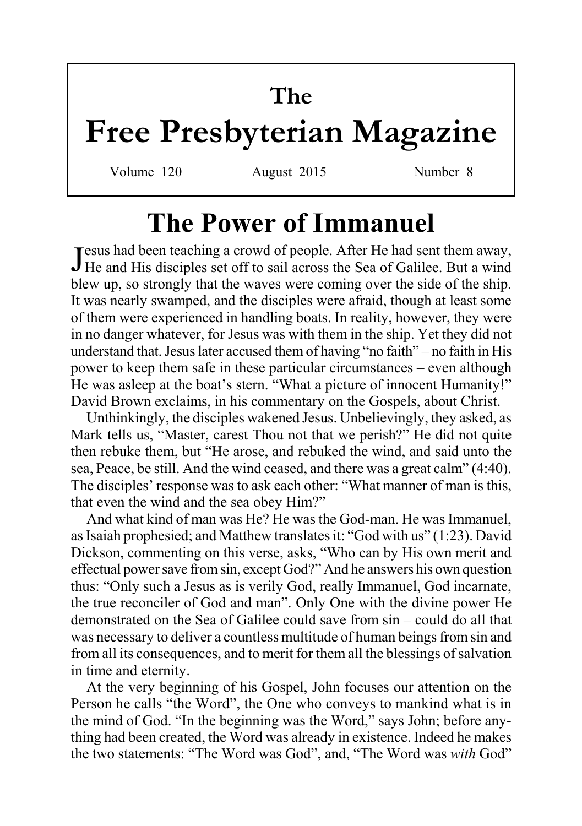# **The Free Presbyterian Magazine**

Volume 120 August 2015 Number 8

# **The Power of Immanuel**

Jesus had been teaching a crowd of people. After He had sent them away,<br>He and His disciples set off to sail across the Sea of Galilee. But a wind **Tesus had been teaching a crowd of people. After He had sent them away,** blew up, so strongly that the waves were coming over the side of the ship. It was nearly swamped, and the disciples were afraid, though at least some of them were experienced in handling boats. In reality, however, they were in no danger whatever, for Jesus was with them in the ship. Yet they did not understand that. Jesus later accused them of having "no faith" – no faith in His power to keep them safe in these particular circumstances – even although He was asleep at the boat's stern. "What a picture of innocent Humanity!" David Brown exclaims, in his commentary on the Gospels, about Christ.

Unthinkingly, the disciples wakened Jesus. Unbelievingly, they asked, as Mark tells us, "Master, carest Thou not that we perish?" He did not quite then rebuke them, but "He arose, and rebuked the wind, and said unto the sea, Peace, be still. And the wind ceased, and there was a great calm" (4:40). The disciples' response was to ask each other: "What manner of man is this, that even the wind and the sea obey Him?"

And what kind of man was He? He was the God-man. He was Immanuel, as Isaiah prophesied; and Matthew translates it: "God with us" (1:23). David Dickson, commenting on this verse, asks, "Who can by His own merit and effectual power save from sin, except God?" And he answers his own question thus: "Only such a Jesus as is verily God, really Immanuel, God incarnate, the true reconciler of God and man". Only One with the divine power He demonstrated on the Sea of Galilee could save from sin – could do all that was necessary to deliver a countless multitude of human beings from sin and from all its consequences, and to merit for them all the blessings of salvation in time and eternity.

At the very beginning of his Gospel, John focuses our attention on the Person he calls "the Word", the One who conveys to mankind what is in the mind of God. "In the beginning was the Word," says John; before anything had been created, the Word was already in existence. Indeed he makes the two statements: "The Word was God", and, "The Word was *with* God"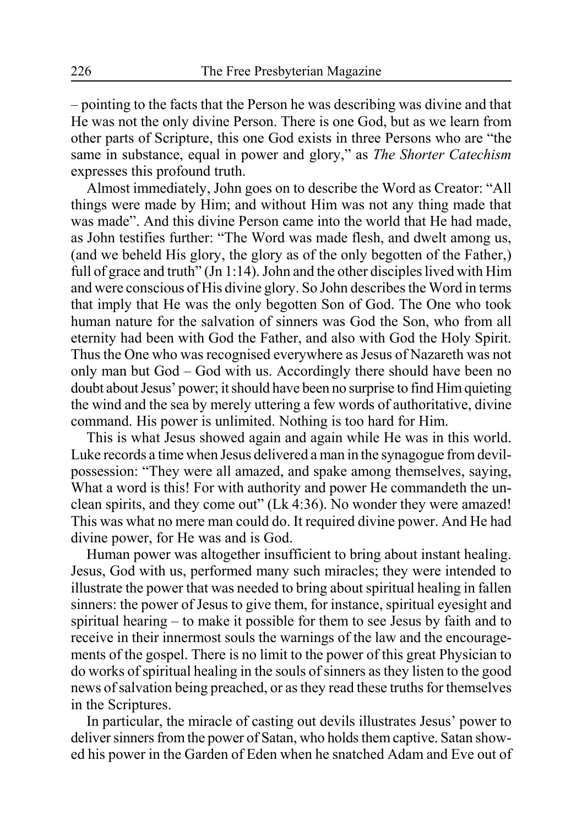– pointing to the facts that the Person he was describing was divine and that He was not the only divine Person. There is one God, but as we learn from other parts of Scripture, this one God exists in three Persons who are "the same in substance, equal in power and glory," as *The Shorter Catechism* expresses this profound truth.

Almost immediately, John goes on to describe the Word as Creator: "All things were made by Him; and without Him was not any thing made that was made". And this divine Person came into the world that He had made, as John testifies further: "The Word was made flesh, and dwelt among us, (and we beheld His glory, the glory as of the only begotten of the Father,) full of grace and truth" (Jn 1:14). John and the other disciples lived with Him and were conscious of His divine glory. So John describes the Word in terms that imply that He was the only begotten Son of God. The One who took human nature for the salvation of sinners was God the Son, who from all eternity had been with God the Father, and also with God the Holy Spirit. Thus the One who was recognised everywhere as Jesus of Nazareth was not only man but God – God with us. Accordingly there should have been no doubt about Jesus' power; it should have been no surprise to find Him quieting the wind and the sea by merely uttering a few words of authoritative, divine command. His power is unlimited. Nothing is too hard for Him.

This is what Jesus showed again and again while He was in this world. Luke records a time when Jesus delivered a man in the synagogue from devilpossession: "They were all amazed, and spake among themselves, saying, What a word is this! For with authority and power He commandeth the unclean spirits, and they come out" (Lk 4:36). No wonder they were amazed! This was what no mere man could do. It required divine power. And He had divine power, for He was and is God.

Human power was altogether insufficient to bring about instant healing. Jesus, God with us, performed many such miracles; they were intended to illustrate the power that was needed to bring about spiritual healing in fallen sinners: the power of Jesus to give them, for instance, spiritual eyesight and spiritual hearing – to make it possible for them to see Jesus by faith and to receive in their innermost souls the warnings of the law and the encouragements of the gospel. There is no limit to the power of this great Physician to do works of spiritual healing in the souls of sinners as they listen to the good news of salvation being preached, or as they read these truths for themselves in the Scriptures.

In particular, the miracle of casting out devils illustrates Jesus' power to deliver sinners from the power of Satan, who holds them captive. Satan showed his power in the Garden of Eden when he snatched Adam and Eve out of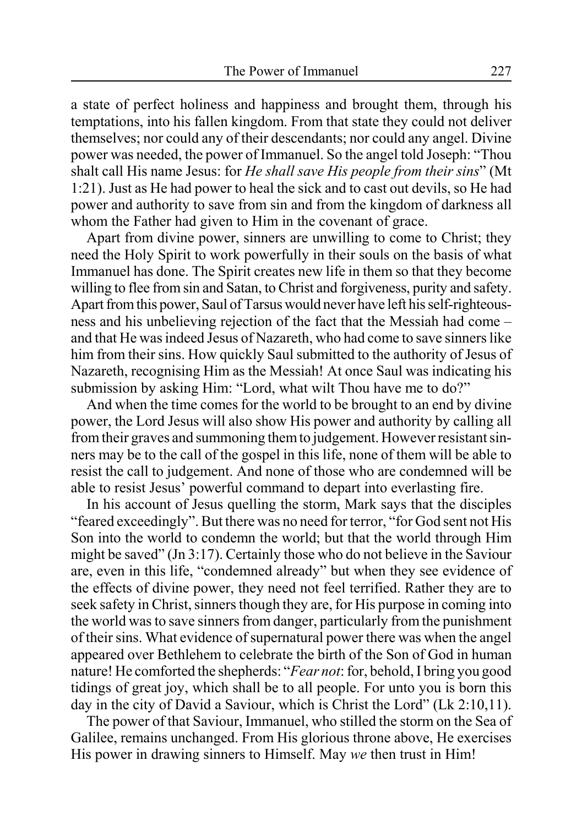a state of perfect holiness and happiness and brought them, through his temptations, into his fallen kingdom. From that state they could not deliver themselves; nor could any of their descendants; nor could any angel. Divine power was needed, the power of Immanuel. So the angel told Joseph: "Thou shalt call His name Jesus: for *He shall save His people from their sins*" (Mt 1:21). Just as He had power to heal the sick and to cast out devils, so He had power and authority to save from sin and from the kingdom of darkness all whom the Father had given to Him in the covenant of grace.

Apart from divine power, sinners are unwilling to come to Christ; they need the Holy Spirit to work powerfully in their souls on the basis of what Immanuel has done. The Spirit creates new life in them so that they become willing to flee from sin and Satan, to Christ and forgiveness, purity and safety. Apart from this power, Saul of Tarsus would never have left his self-righteousness and his unbelieving rejection of the fact that the Messiah had come – and that He was indeed Jesus of Nazareth, who had come to save sinners like him from their sins. How quickly Saul submitted to the authority of Jesus of Nazareth, recognising Him as the Messiah! At once Saul was indicating his submission by asking Him: "Lord, what wilt Thou have me to do?"

And when the time comes for the world to be brought to an end by divine power, the Lord Jesus will also show His power and authority by calling all from their graves and summoning them to judgement. However resistant sinners may be to the call of the gospel in this life, none of them will be able to resist the call to judgement. And none of those who are condemned will be able to resist Jesus' powerful command to depart into everlasting fire.

In his account of Jesus quelling the storm, Mark says that the disciples "feared exceedingly". But there was no need for terror, "for God sent not His Son into the world to condemn the world; but that the world through Him might be saved" (Jn 3:17). Certainly those who do not believe in the Saviour are, even in this life, "condemned already" but when they see evidence of the effects of divine power, they need not feel terrified. Rather they are to seek safety in Christ, sinners though they are, for His purpose in coming into the world was to save sinners from danger, particularly from the punishment of their sins. What evidence of supernatural power there was when the angel appeared over Bethlehem to celebrate the birth of the Son of God in human nature! He comforted the shepherds: "*Fear not*: for, behold, I bring you good tidings of great joy, which shall be to all people. For unto you is born this day in the city of David a Saviour, which is Christ the Lord" (Lk 2:10,11).

The power of that Saviour, Immanuel, who stilled the storm on the Sea of Galilee, remains unchanged. From His glorious throne above, He exercises His power in drawing sinners to Himself. May *we* then trust in Him!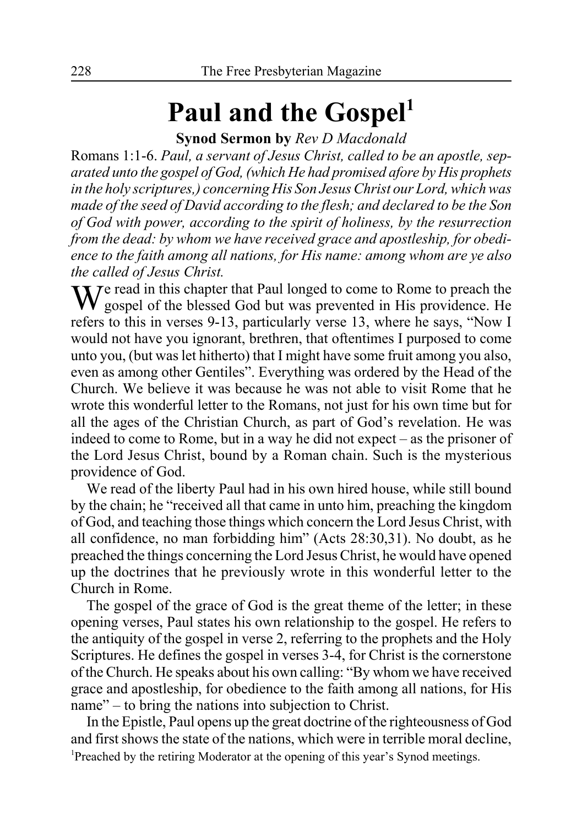# Paul and the Gospel<sup>1</sup>

**Synod Sermon by** *Rev D Macdonald*

Romans 1:1-6. *Paul, a servant of Jesus Christ, called to be an apostle, separated unto the gospel of God, (which He had promised afore by His prophets in the holy scriptures,) concerning His Son Jesus Christ our Lord, which was made of the seed of David according to the flesh; and declared to be the Son of God with power, according to the spirit of holiness, by the resurrection from the dead: by whom we have received grace and apostleship, for obedience to the faith among all nations, for His name: among whom are ye also the called of Jesus Christ.*

 $\blacksquare$  T  $\blacktriangleright$  read in this chapter that Paul longed to come to Rome to preach the gospel of the blessed God but was prevented in His providence. He refers to this in verses 9-13, particularly verse 13, where he says, "Now I would not have you ignorant, brethren, that oftentimes I purposed to come unto you, (but was let hitherto) that I might have some fruit among you also, even as among other Gentiles". Everything was ordered by the Head of the Church. We believe it was because he was not able to visit Rome that he wrote this wonderful letter to the Romans, not just for his own time but for all the ages of the Christian Church, as part of God's revelation. He was indeed to come to Rome, but in a way he did not expect – as the prisoner of the Lord Jesus Christ, bound by a Roman chain. Such is the mysterious providence of God.

We read of the liberty Paul had in his own hired house, while still bound by the chain; he "received all that came in unto him, preaching the kingdom of God, and teaching those things which concern the Lord Jesus Christ, with all confidence, no man forbidding him" (Acts 28:30,31). No doubt, as he preached the things concerning the Lord Jesus Christ, he would have opened up the doctrines that he previously wrote in this wonderful letter to the Church in Rome.

The gospel of the grace of God is the great theme of the letter; in these opening verses, Paul states his own relationship to the gospel. He refers to the antiquity of the gospel in verse 2, referring to the prophets and the Holy Scriptures. He defines the gospel in verses 3-4, for Christ is the cornerstone of the Church. He speaks about his own calling: "By whom we have received grace and apostleship, for obedience to the faith among all nations, for His name" – to bring the nations into subjection to Christ.

In the Epistle, Paul opens up the great doctrine of the righteousness of God and first shows the state of the nations, which were in terrible moral decline, 1 Preached by the retiring Moderator at the opening of this year's Synod meetings.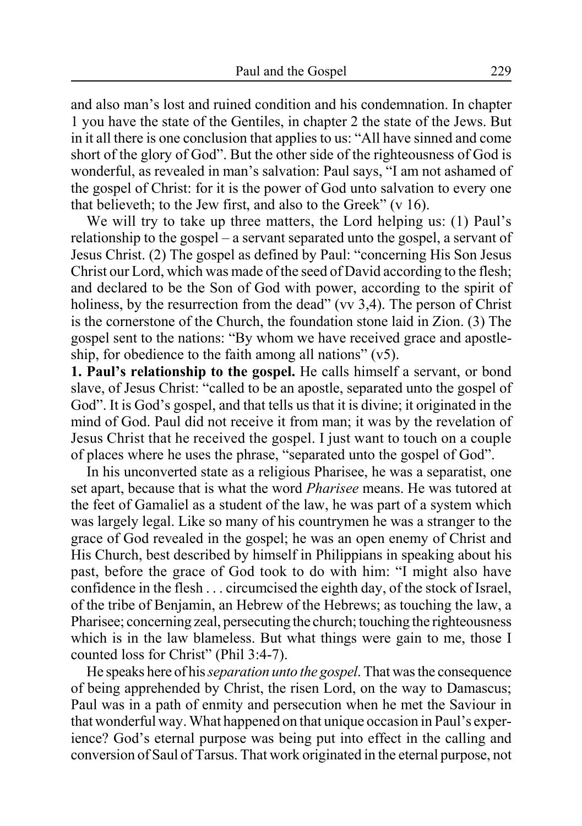and also man's lost and ruined condition and his condemnation. In chapter 1 you have the state of the Gentiles, in chapter 2 the state of the Jews. But in it all there is one conclusion that applies to us: "All have sinned and come short of the glory of God". But the other side of the righteousness of God is wonderful, as revealed in man's salvation: Paul says, "I am not ashamed of the gospel of Christ: for it is the power of God unto salvation to every one that believeth; to the Jew first, and also to the Greek" (v 16).

We will try to take up three matters, the Lord helping us: (1) Paul's relationship to the gospel – a servant separated unto the gospel, a servant of Jesus Christ. (2) The gospel as defined by Paul: "concerning His Son Jesus Christ our Lord, which was made of the seed of David according to the flesh; and declared to be the Son of God with power, according to the spirit of holiness, by the resurrection from the dead" (vv 3.4). The person of Christ is the cornerstone of the Church, the foundation stone laid in Zion. (3) The gospel sent to the nations: "By whom we have received grace and apostleship, for obedience to the faith among all nations"  $(v5)$ .

**1. Paul's relationship to the gospel.** He calls himself a servant, or bond slave, of Jesus Christ: "called to be an apostle, separated unto the gospel of God". It is God's gospel, and that tells us that it is divine; it originated in the mind of God. Paul did not receive it from man; it was by the revelation of Jesus Christ that he received the gospel. I just want to touch on a couple of places where he uses the phrase, "separated unto the gospel of God".

In his unconverted state as a religious Pharisee, he was a separatist, one set apart, because that is what the word *Pharisee* means. He was tutored at the feet of Gamaliel as a student of the law, he was part of a system which was largely legal. Like so many of his countrymen he was a stranger to the grace of God revealed in the gospel; he was an open enemy of Christ and His Church, best described by himself in Philippians in speaking about his past, before the grace of God took to do with him: "I might also have confidence in the flesh . . . circumcised the eighth day, of the stock of Israel, of the tribe of Benjamin, an Hebrew of the Hebrews; as touching the law, a Pharisee; concerning zeal, persecuting the church; touching the righteousness which is in the law blameless. But what things were gain to me, those I counted loss for Christ" (Phil 3:4-7).

He speaks here of his *separation unto the gospel*. That was the consequence of being apprehended by Christ, the risen Lord, on the way to Damascus; Paul was in a path of enmity and persecution when he met the Saviour in that wonderful way. What happened on that unique occasion in Paul's experience? God's eternal purpose was being put into effect in the calling and conversion of Saul of Tarsus. That work originated in the eternal purpose, not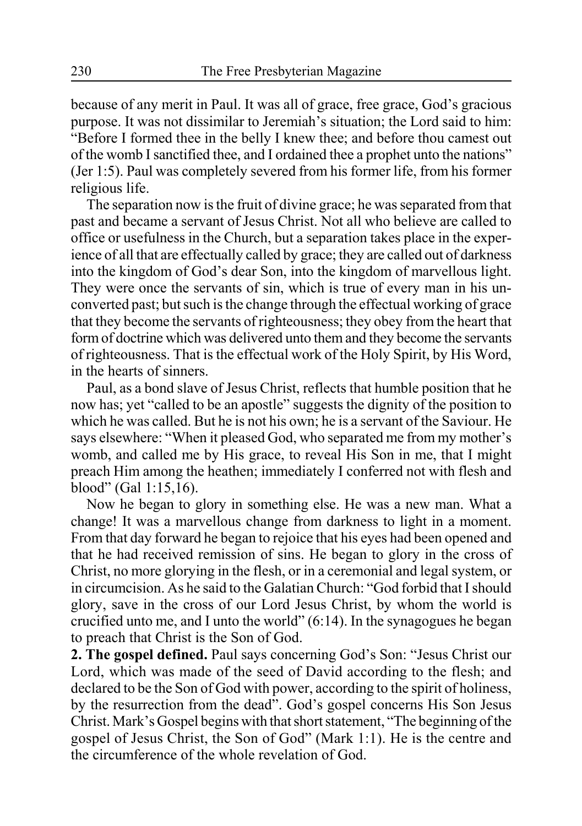because of any merit in Paul. It was all of grace, free grace, God's gracious purpose. It was not dissimilar to Jeremiah's situation; the Lord said to him: "Before I formed thee in the belly I knew thee; and before thou camest out of the womb I sanctified thee, and I ordained thee a prophet unto the nations" (Jer 1:5). Paul was completely severed from his former life, from his former religious life.

The separation now is the fruit of divine grace; he was separated from that past and became a servant of Jesus Christ. Not all who believe are called to office or usefulness in the Church, but a separation takes place in the experience of all that are effectually called by grace; they are called out of darkness into the kingdom of God's dear Son, into the kingdom of marvellous light. They were once the servants of sin, which is true of every man in his unconverted past; but such is the change through the effectual working of grace that they become the servants of righteousness; they obey from the heart that form of doctrine which was delivered unto them and they become the servants of righteousness. That is the effectual work of the Holy Spirit, by His Word, in the hearts of sinners.

Paul, as a bond slave of Jesus Christ, reflects that humble position that he now has; yet "called to be an apostle" suggests the dignity of the position to which he was called. But he is not his own; he is a servant of the Saviour. He says elsewhere: "When it pleased God, who separated me from my mother's womb, and called me by His grace, to reveal His Son in me, that I might preach Him among the heathen; immediately I conferred not with flesh and blood" (Gal 1:15,16).

Now he began to glory in something else. He was a new man. What a change! It was a marvellous change from darkness to light in a moment. From that day forward he began to rejoice that his eyes had been opened and that he had received remission of sins. He began to glory in the cross of Christ, no more glorying in the flesh, or in a ceremonial and legal system, or in circumcision. As he said to the Galatian Church: "God forbid that I should glory, save in the cross of our Lord Jesus Christ, by whom the world is crucified unto me, and I unto the world" (6:14). In the synagogues he began to preach that Christ is the Son of God.

**2. The gospel defined.** Paul says concerning God's Son: "Jesus Christ our Lord, which was made of the seed of David according to the flesh; and declared to be the Son of God with power, according to the spirit of holiness, by the resurrection from the dead". God's gospel concerns His Son Jesus Christ. Mark's Gospel begins with that short statement, "The beginning of the gospel of Jesus Christ, the Son of God" (Mark 1:1). He is the centre and the circumference of the whole revelation of God.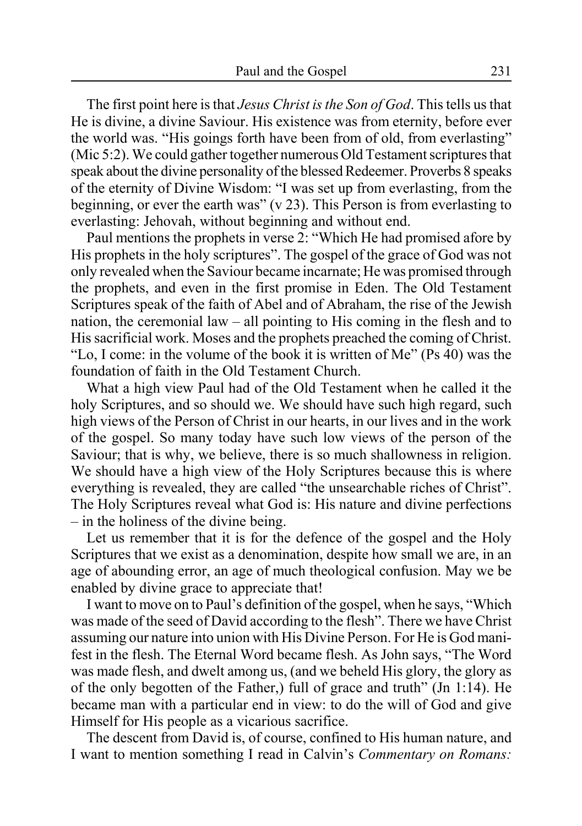The first point here is that *Jesus Christ is the Son of God*. This tells us that He is divine, a divine Saviour. His existence was from eternity, before ever the world was. "His goings forth have been from of old, from everlasting" (Mic 5:2). We could gather together numerous Old Testament scriptures that speak about the divine personality of the blessed Redeemer. Proverbs 8 speaks of the eternity of Divine Wisdom: "I was set up from everlasting, from the beginning, or ever the earth was" (v 23). This Person is from everlasting to everlasting: Jehovah, without beginning and without end.

Paul mentions the prophets in verse 2: "Which He had promised afore by His prophets in the holy scriptures". The gospel of the grace of God was not only revealed when the Saviour became incarnate; He was promised through the prophets, and even in the first promise in Eden. The Old Testament Scriptures speak of the faith of Abel and of Abraham, the rise of the Jewish nation, the ceremonial law – all pointing to His coming in the flesh and to His sacrificial work. Moses and the prophets preached the coming of Christ. "Lo, I come: in the volume of the book it is written of Me" (Ps 40) was the foundation of faith in the Old Testament Church.

What a high view Paul had of the Old Testament when he called it the holy Scriptures, and so should we. We should have such high regard, such high views of the Person of Christ in our hearts, in our lives and in the work of the gospel. So many today have such low views of the person of the Saviour; that is why, we believe, there is so much shallowness in religion. We should have a high view of the Holy Scriptures because this is where everything is revealed, they are called "the unsearchable riches of Christ". The Holy Scriptures reveal what God is: His nature and divine perfections – in the holiness of the divine being.

Let us remember that it is for the defence of the gospel and the Holy Scriptures that we exist as a denomination, despite how small we are, in an age of abounding error, an age of much theological confusion. May we be enabled by divine grace to appreciate that!

I want to move on to Paul's definition of the gospel, when he says, "Which was made of the seed of David according to the flesh". There we have Christ assuming our nature into union with His Divine Person. For He is God manifest in the flesh. The Eternal Word became flesh. As John says, "The Word was made flesh, and dwelt among us, (and we beheld His glory, the glory as of the only begotten of the Father,) full of grace and truth" (Jn 1:14). He became man with a particular end in view: to do the will of God and give Himself for His people as a vicarious sacrifice.

The descent from David is, of course, confined to His human nature, and I want to mention something I read in Calvin's *Commentary on Romans:*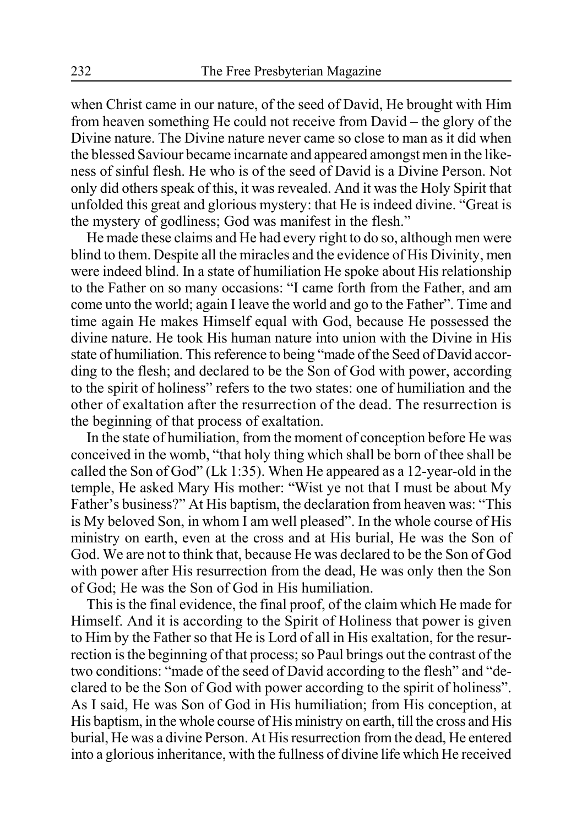when Christ came in our nature, of the seed of David, He brought with Him from heaven something He could not receive from David – the glory of the Divine nature. The Divine nature never came so close to man as it did when the blessed Saviour became incarnate and appeared amongst men in the likeness of sinful flesh. He who is of the seed of David is a Divine Person. Not only did others speak of this, it was revealed. And it was the Holy Spirit that unfolded this great and glorious mystery: that He is indeed divine. "Great is the mystery of godliness; God was manifest in the flesh."

He made these claims and He had every right to do so, although men were blind to them. Despite all the miracles and the evidence of His Divinity, men were indeed blind. In a state of humiliation He spoke about His relationship to the Father on so many occasions: "I came forth from the Father, and am come unto the world; again I leave the world and go to the Father". Time and time again He makes Himself equal with God, because He possessed the divine nature. He took His human nature into union with the Divine in His state of humiliation. This reference to being "made of the Seed of David according to the flesh; and declared to be the Son of God with power, according to the spirit of holiness" refers to the two states: one of humiliation and the other of exaltation after the resurrection of the dead. The resurrection is the beginning of that process of exaltation.

In the state of humiliation, from the moment of conception before He was conceived in the womb, "that holy thing which shall be born of thee shall be called the Son of God" (Lk 1:35). When He appeared as a 12-year-old in the temple, He asked Mary His mother: "Wist ye not that I must be about My Father's business?" At His baptism, the declaration from heaven was: "This is My beloved Son, in whom I am well pleased". In the whole course of His ministry on earth, even at the cross and at His burial, He was the Son of God. We are not to think that, because He was declared to be the Son of God with power after His resurrection from the dead, He was only then the Son of God; He was the Son of God in His humiliation.

This is the final evidence, the final proof, of the claim which He made for Himself. And it is according to the Spirit of Holiness that power is given to Him by the Father so that He is Lord of all in His exaltation, for the resurrection is the beginning of that process; so Paul brings out the contrast of the two conditions: "made of the seed of David according to the flesh" and "declared to be the Son of God with power according to the spirit of holiness". As I said, He was Son of God in His humiliation; from His conception, at His baptism, in the whole course of His ministry on earth, till the cross and His burial, He was a divine Person. At His resurrection from the dead, He entered into a glorious inheritance, with the fullness of divine life which He received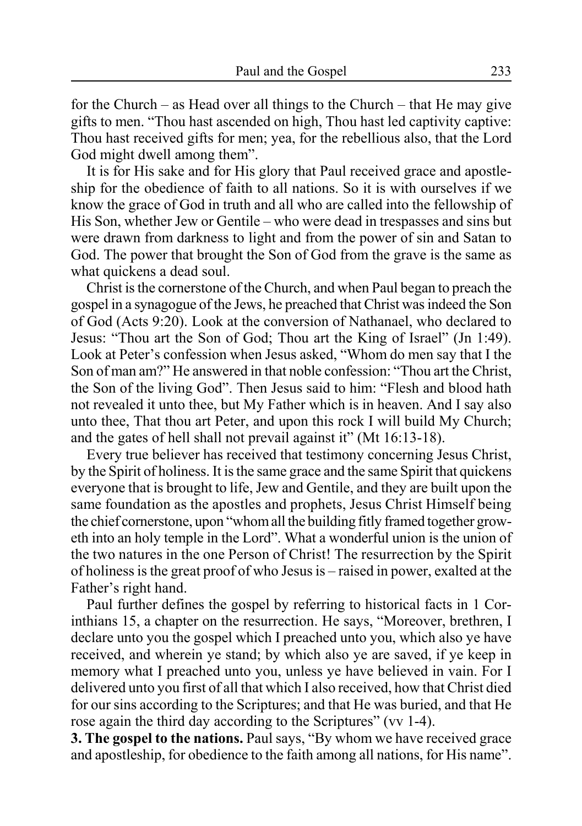for the Church – as Head over all things to the Church – that He may give gifts to men. "Thou hast ascended on high, Thou hast led captivity captive: Thou hast received gifts for men; yea, for the rebellious also, that the Lord God might dwell among them".

It is for His sake and for His glory that Paul received grace and apostleship for the obedience of faith to all nations. So it is with ourselves if we know the grace of God in truth and all who are called into the fellowship of His Son, whether Jew or Gentile – who were dead in trespasses and sins but were drawn from darkness to light and from the power of sin and Satan to God. The power that brought the Son of God from the grave is the same as what quickens a dead soul.

Christ is the cornerstone of the Church, and when Paul began to preach the gospel in a synagogue of the Jews, he preached that Christ was indeed the Son of God (Acts 9:20). Look at the conversion of Nathanael, who declared to Jesus: "Thou art the Son of God; Thou art the King of Israel" (Jn 1:49). Look at Peter's confession when Jesus asked, "Whom do men say that I the Son of man am?" He answered in that noble confession: "Thou art the Christ, the Son of the living God". Then Jesus said to him: "Flesh and blood hath not revealed it unto thee, but My Father which is in heaven. And I say also unto thee, That thou art Peter, and upon this rock I will build My Church; and the gates of hell shall not prevail against it" (Mt 16:13-18).

Every true believer has received that testimony concerning Jesus Christ, by the Spirit of holiness. It is the same grace and the same Spirit that quickens everyone that is brought to life, Jew and Gentile, and they are built upon the same foundation as the apostles and prophets, Jesus Christ Himself being the chief cornerstone, upon "whom all the building fitly framed together groweth into an holy temple in the Lord". What a wonderful union is the union of the two natures in the one Person of Christ! The resurrection by the Spirit of holiness is the great proof of who Jesus is – raised in power, exalted at the Father's right hand.

Paul further defines the gospel by referring to historical facts in 1 Corinthians 15, a chapter on the resurrection. He says, "Moreover, brethren, I declare unto you the gospel which I preached unto you, which also ye have received, and wherein ye stand; by which also ye are saved, if ye keep in memory what I preached unto you, unless ye have believed in vain. For I delivered unto you first of all that which I also received, how that Christ died for our sins according to the Scriptures; and that He was buried, and that He rose again the third day according to the Scriptures" (vv 1-4).

**3. The gospel to the nations.** Paul says, "By whom we have received grace" and apostleship, for obedience to the faith among all nations, for His name".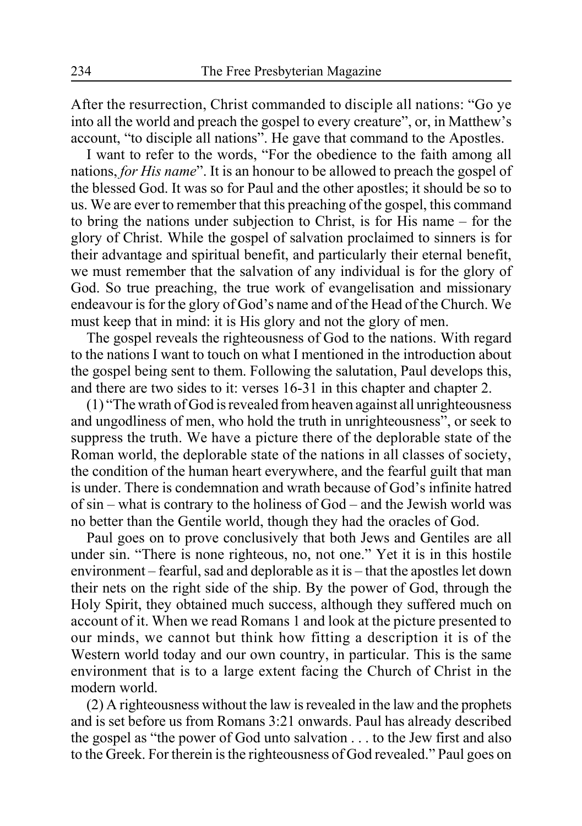After the resurrection, Christ commanded to disciple all nations: "Go ye into all the world and preach the gospel to every creature", or, in Matthew's account, "to disciple all nations". He gave that command to the Apostles.

I want to refer to the words, "For the obedience to the faith among all nations, *for His name*". It is an honour to be allowed to preach the gospel of the blessed God. It was so for Paul and the other apostles; it should be so to us. We are ever to remember that this preaching of the gospel, this command to bring the nations under subjection to Christ, is for His name – for the glory of Christ. While the gospel of salvation proclaimed to sinners is for their advantage and spiritual benefit, and particularly their eternal benefit, we must remember that the salvation of any individual is for the glory of God. So true preaching, the true work of evangelisation and missionary endeavour is for the glory of God's name and of the Head of the Church. We must keep that in mind: it is His glory and not the glory of men.

The gospel reveals the righteousness of God to the nations. With regard to the nations I want to touch on what I mentioned in the introduction about the gospel being sent to them. Following the salutation, Paul develops this, and there are two sides to it: verses 16-31 in this chapter and chapter 2.

(1) "The wrath of God is revealed from heaven against all unrighteousness and ungodliness of men, who hold the truth in unrighteousness", or seek to suppress the truth. We have a picture there of the deplorable state of the Roman world, the deplorable state of the nations in all classes of society, the condition of the human heart everywhere, and the fearful guilt that man is under. There is condemnation and wrath because of God's infinite hatred of sin – what is contrary to the holiness of God – and the Jewish world was no better than the Gentile world, though they had the oracles of God.

Paul goes on to prove conclusively that both Jews and Gentiles are all under sin. "There is none righteous, no, not one." Yet it is in this hostile environment – fearful, sad and deplorable as it is – that the apostles let down their nets on the right side of the ship. By the power of God, through the Holy Spirit, they obtained much success, although they suffered much on account of it. When we read Romans 1 and look at the picture presented to our minds, we cannot but think how fitting a description it is of the Western world today and our own country, in particular. This is the same environment that is to a large extent facing the Church of Christ in the modern world.

(2) A righteousness without the law is revealed in the law and the prophets and is set before us from Romans 3:21 onwards. Paul has already described the gospel as "the power of God unto salvation . . . to the Jew first and also to the Greek. For therein is the righteousness of God revealed." Paul goes on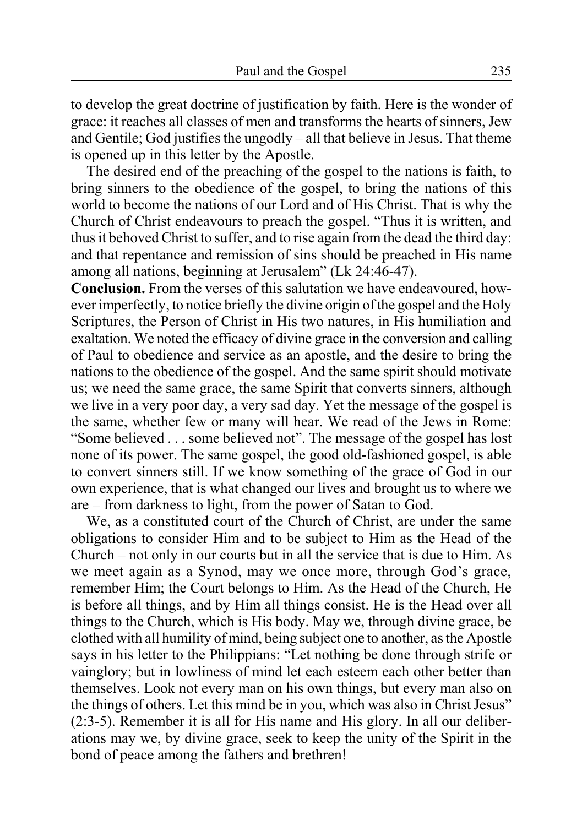to develop the great doctrine of justification by faith. Here is the wonder of grace: it reaches all classes of men and transforms the hearts of sinners, Jew and Gentile; God justifies the ungodly – all that believe in Jesus. That theme is opened up in this letter by the Apostle.

The desired end of the preaching of the gospel to the nations is faith, to bring sinners to the obedience of the gospel, to bring the nations of this world to become the nations of our Lord and of His Christ. That is why the Church of Christ endeavours to preach the gospel. "Thus it is written, and thus it behoved Christ to suffer, and to rise again from the dead the third day: and that repentance and remission of sins should be preached in His name among all nations, beginning at Jerusalem" (Lk 24:46-47).

**Conclusion.** From the verses of this salutation we have endeavoured, however imperfectly, to notice briefly the divine origin of the gospel and the Holy Scriptures, the Person of Christ in His two natures, in His humiliation and exaltation. We noted the efficacy of divine grace in the conversion and calling of Paul to obedience and service as an apostle, and the desire to bring the nations to the obedience of the gospel. And the same spirit should motivate us; we need the same grace, the same Spirit that converts sinners, although we live in a very poor day, a very sad day. Yet the message of the gospel is the same, whether few or many will hear. We read of the Jews in Rome: "Some believed . . . some believed not". The message of the gospel has lost none of its power. The same gospel, the good old-fashioned gospel, is able to convert sinners still. If we know something of the grace of God in our own experience, that is what changed our lives and brought us to where we are – from darkness to light, from the power of Satan to God.

We, as a constituted court of the Church of Christ, are under the same obligations to consider Him and to be subject to Him as the Head of the Church – not only in our courts but in all the service that is due to Him. As we meet again as a Synod, may we once more, through God's grace, remember Him; the Court belongs to Him. As the Head of the Church, He is before all things, and by Him all things consist. He is the Head over all things to the Church, which is His body. May we, through divine grace, be clothed with all humility of mind, being subject one to another, as the Apostle says in his letter to the Philippians: "Let nothing be done through strife or vainglory; but in lowliness of mind let each esteem each other better than themselves. Look not every man on his own things, but every man also on the things of others. Let this mind be in you, which was also in Christ Jesus" (2:3-5). Remember it is all for His name and His glory. In all our deliberations may we, by divine grace, seek to keep the unity of the Spirit in the bond of peace among the fathers and brethren!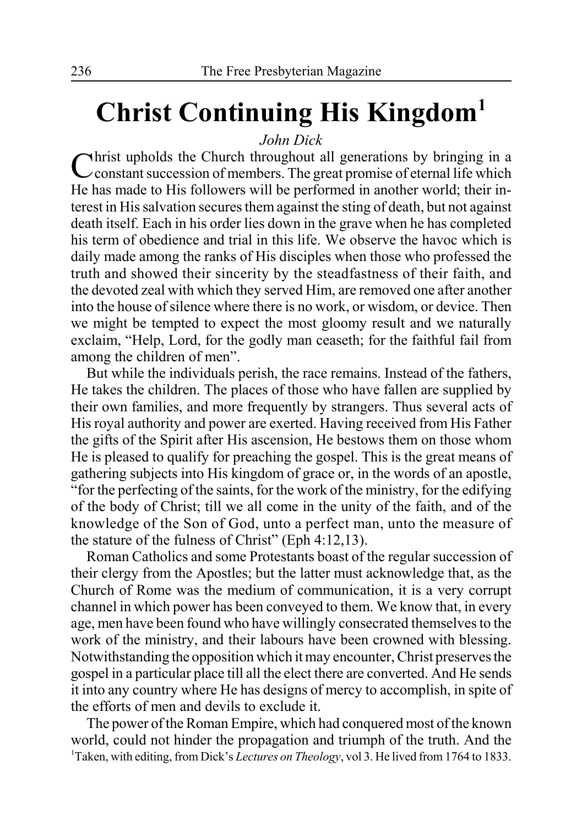# **Christ Continuing His Kingdom1**

### *John Dick*

Christ upholds the Church throughout all generations by bringing in a constant succession of members. The great promise of eternal life which He has made to His followers will be performed in another world; their interest in His salvation secures them against the sting of death, but not against death itself. Each in his order lies down in the grave when he has completed his term of obedience and trial in this life. We observe the havoc which is daily made among the ranks of His disciples when those who professed the truth and showed their sincerity by the steadfastness of their faith, and the devoted zeal with which they served Him, are removed one after another into the house of silence where there is no work, or wisdom, or device. Then we might be tempted to expect the most gloomy result and we naturally exclaim, "Help, Lord, for the godly man ceaseth; for the faithful fail from among the children of men".

But while the individuals perish, the race remains. Instead of the fathers, He takes the children. The places of those who have fallen are supplied by their own families, and more frequently by strangers. Thus several acts of His royal authority and power are exerted. Having received from His Father the gifts of the Spirit after His ascension, He bestows them on those whom He is pleased to qualify for preaching the gospel. This is the great means of gathering subjects into His kingdom of grace or, in the words of an apostle, "for the perfecting of the saints, for the work of the ministry, for the edifying of the body of Christ; till we all come in the unity of the faith, and of the knowledge of the Son of God, unto a perfect man, unto the measure of the stature of the fulness of Christ" (Eph 4:12,13).

Roman Catholics and some Protestants boast of the regular succession of their clergy from the Apostles; but the latter must acknowledge that, as the Church of Rome was the medium of communication, it is a very corrupt channel in which power has been conveyed to them. We know that, in every age, men have been found who have willingly consecrated themselves to the work of the ministry, and their labours have been crowned with blessing. Notwithstanding the opposition which it may encounter, Christ preserves the gospel in a particular place till all the elect there are converted. And He sends it into any country where He has designs of mercy to accomplish, in spite of the efforts of men and devils to exclude it.

The power of the Roman Empire, which had conquered most of the known world, could not hinder the propagation and triumph of the truth. And the <sup>1</sup>Taken, with editing, from Dick's *Lectures on Theology*, vol 3. He lived from 1764 to 1833.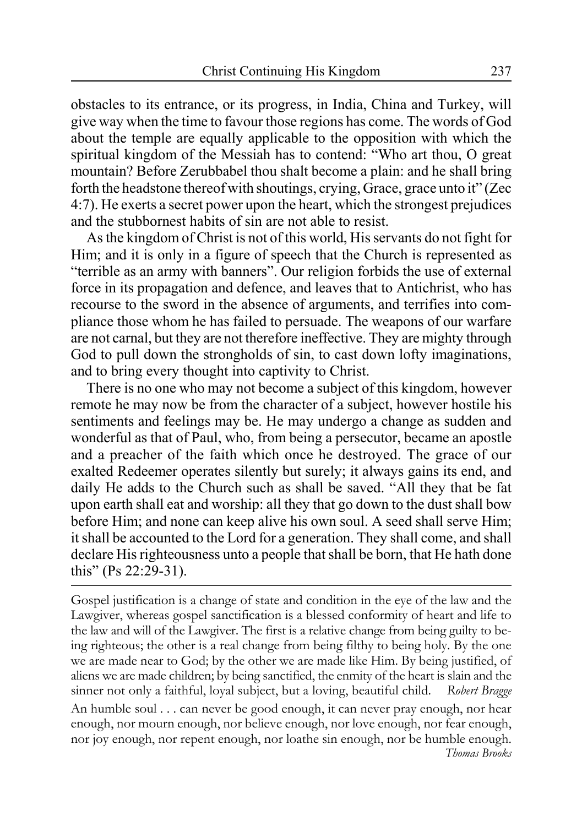obstacles to its entrance, or its progress, in India, China and Turkey, will give way when the time to favour those regions has come. The words of God about the temple are equally applicable to the opposition with which the spiritual kingdom of the Messiah has to contend: "Who art thou, O great mountain? Before Zerubbabel thou shalt become a plain: and he shall bring forth the headstone thereof with shoutings, crying, Grace, grace unto it" (Zec 4:7). He exerts a secret power upon the heart, which the strongest prejudices and the stubbornest habits of sin are not able to resist.

As the kingdom of Christ is not of this world, His servants do not fight for Him; and it is only in a figure of speech that the Church is represented as "terrible as an army with banners". Our religion forbids the use of external force in its propagation and defence, and leaves that to Antichrist, who has recourse to the sword in the absence of arguments, and terrifies into compliance those whom he has failed to persuade. The weapons of our warfare are not carnal, but they are not therefore ineffective. They are mighty through God to pull down the strongholds of sin, to cast down lofty imaginations, and to bring every thought into captivity to Christ.

There is no one who may not become a subject of this kingdom, however remote he may now be from the character of a subject, however hostile his sentiments and feelings may be. He may undergo a change as sudden and wonderful as that of Paul, who, from being a persecutor, became an apostle and a preacher of the faith which once he destroyed. The grace of our exalted Redeemer operates silently but surely; it always gains its end, and daily He adds to the Church such as shall be saved. "All they that be fat upon earth shall eat and worship: all they that go down to the dust shall bow before Him; and none can keep alive his own soul. A seed shall serve Him; it shall be accounted to the Lord for a generation. They shall come, and shall declare His righteousness unto a people that shall be born, that He hath done this" (Ps 22:29-31).

Gospel justification is a change of state and condition in the eye of the law and the Lawgiver, whereas gospel sanctification is a blessed conformity of heart and life to the law and will of the Lawgiver. The first is a relative change from being guilty to being righteous; the other is a real change from being filthy to being holy. By the one we are made near to God; by the other we are made like Him. By being justified, of aliens we are made children; by being sanctified, the enmity of the heart is slain and the sinner not only a faithful, loyal subject, but a loving, beautiful child. *Robert Bragge* An humble soul . . . can never be good enough, it can never pray enough, nor hear enough, nor mourn enough, nor believe enough, nor love enough, nor fear enough, nor joy enough, nor repent enough, nor loathe sin enough, nor be humble enough. *Thomas Brooks*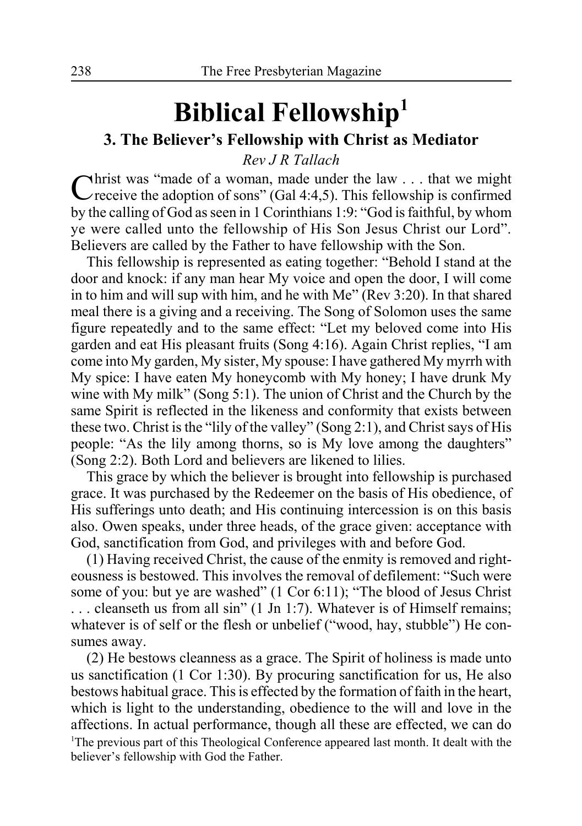# **Biblical Fellowship1**

### **3. The Believer's Fellowship with Christ as Mediator**

*Rev J R Tallach*

Christ was "made of a woman, made under the law . . . that we might Creceive the adoption of sons" (Gal 4:4,5). This fellowship is confirmed by the calling of God as seen in 1 Corinthians 1:9: "God is faithful, by whom ye were called unto the fellowship of His Son Jesus Christ our Lord". Believers are called by the Father to have fellowship with the Son.

This fellowship is represented as eating together: "Behold I stand at the door and knock: if any man hear My voice and open the door, I will come in to him and will sup with him, and he with Me" (Rev 3:20). In that shared meal there is a giving and a receiving. The Song of Solomon uses the same figure repeatedly and to the same effect: "Let my beloved come into His garden and eat His pleasant fruits (Song 4:16). Again Christ replies, "I am come into My garden, My sister, My spouse: I have gathered My myrrh with My spice: I have eaten My honeycomb with My honey; I have drunk My wine with My milk" (Song 5:1). The union of Christ and the Church by the same Spirit is reflected in the likeness and conformity that exists between these two. Christ is the "lily of the valley" (Song 2:1), and Christ says of His people: "As the lily among thorns, so is My love among the daughters" (Song 2:2). Both Lord and believers are likened to lilies.

This grace by which the believer is brought into fellowship is purchased grace. It was purchased by the Redeemer on the basis of His obedience, of His sufferings unto death; and His continuing intercession is on this basis also. Owen speaks, under three heads, of the grace given: acceptance with God, sanctification from God, and privileges with and before God.

(1) Having received Christ, the cause of the enmity is removed and righteousness is bestowed. This involves the removal of defilement: "Such were some of you: but ye are washed" (1 Cor 6:11); "The blood of Jesus Christ . . . cleanseth us from all sin" (1 Jn 1:7). Whatever is of Himself remains; whatever is of self or the flesh or unbelief ("wood, hay, stubble") He consumes away.

(2) He bestows cleanness as a grace. The Spirit of holiness is made unto us sanctification (1 Cor 1:30). By procuring sanctification for us, He also bestows habitual grace. This is effected by the formation of faith in the heart, which is light to the understanding, obedience to the will and love in the affections. In actual performance, though all these are effected, we can do <sup>1</sup>The previous part of this Theological Conference appeared last month. It dealt with the believer's fellowship with God the Father.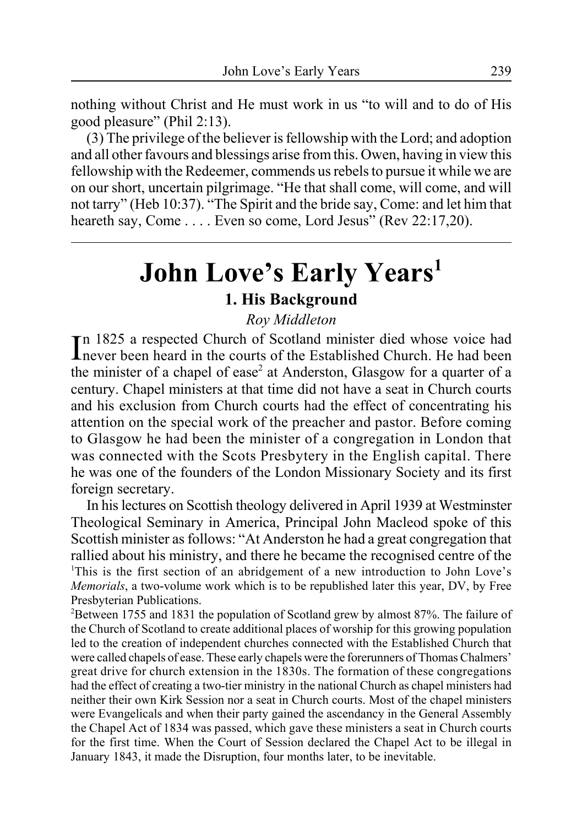nothing without Christ and He must work in us "to will and to do of His good pleasure" (Phil 2:13).

(3) The privilege of the believer is fellowship with the Lord; and adoption and all other favours and blessings arise from this. Owen, having in view this fellowship with the Redeemer, commends us rebels to pursue it while we are on our short, uncertain pilgrimage. "He that shall come, will come, and will not tarry" (Heb 10:37). "The Spirit and the bride say, Come: and let him that heareth say, Come . . . . Even so come, Lord Jesus" (Rev 22:17,20).

# **John Love's Early Years1**

### **1. His Background**

### *Roy Middleton*

In 1825 a respected Church of Scotland minister died whose voice had<br>Inever been heard in the courts of the Established Church. He had been n 1825 a respected Church of Scotland minister died whose voice had the minister of a chapel of ease<sup>2</sup> at Anderston, Glasgow for a quarter of a century. Chapel ministers at that time did not have a seat in Church courts and his exclusion from Church courts had the effect of concentrating his attention on the special work of the preacher and pastor. Before coming to Glasgow he had been the minister of a congregation in London that was connected with the Scots Presbytery in the English capital. There he was one of the founders of the London Missionary Society and its first foreign secretary.

In his lectures on Scottish theology delivered in April 1939 at Westminster Theological Seminary in America, Principal John Macleod spoke of this Scottish minister as follows: "At Anderston he had a great congregation that rallied about his ministry, and there he became the recognised centre of the <sup>1</sup>This is the first section of an abridgement of a new introduction to John Love's *Memorials*, a two-volume work which is to be republished later this year, DV, by Free Presbyterian Publications.

 $2^2$ Between 1755 and 1831 the population of Scotland grew by almost 87%. The failure of the Church of Scotland to create additional places of worship for this growing population led to the creation of independent churches connected with the Established Church that were called chapels of ease. These early chapels were the forerunners of Thomas Chalmers' great drive for church extension in the 1830s. The formation of these congregations had the effect of creating a two-tier ministry in the national Church as chapel ministers had neither their own Kirk Session nor a seat in Church courts. Most of the chapel ministers were Evangelicals and when their party gained the ascendancy in the General Assembly the Chapel Act of 1834 was passed, which gave these ministers a seat in Church courts for the first time. When the Court of Session declared the Chapel Act to be illegal in January 1843, it made the Disruption, four months later, to be inevitable.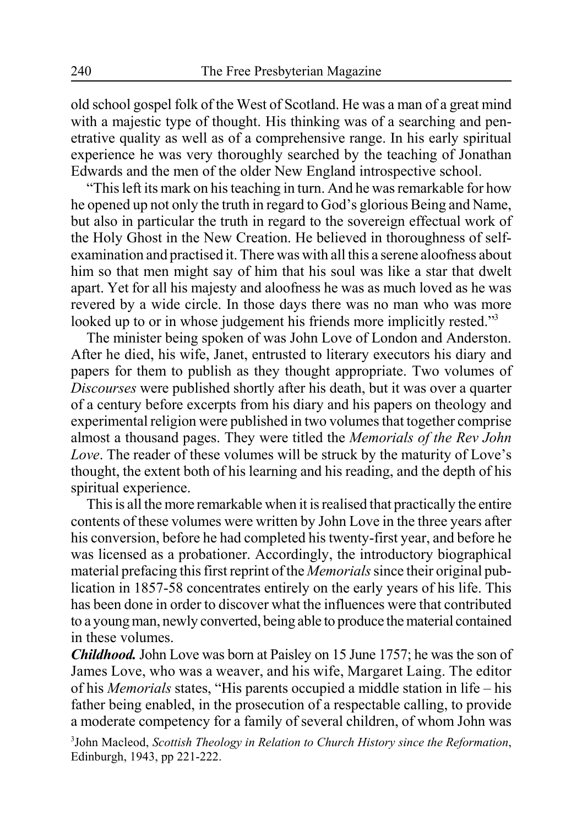old school gospel folk of the West of Scotland. He was a man of a great mind with a majestic type of thought. His thinking was of a searching and penetrative quality as well as of a comprehensive range. In his early spiritual experience he was very thoroughly searched by the teaching of Jonathan Edwards and the men of the older New England introspective school.

"This left its mark on his teaching in turn. And he was remarkable for how he opened up not only the truth in regard to God's glorious Being and Name, but also in particular the truth in regard to the sovereign effectual work of the Holy Ghost in the New Creation. He believed in thoroughness of selfexamination and practised it. There was with all this a serene aloofness about him so that men might say of him that his soul was like a star that dwelt apart. Yet for all his majesty and aloofness he was as much loved as he was revered by a wide circle. In those days there was no man who was more looked up to or in whose judgement his friends more implicitly rested."<sup>3</sup>

The minister being spoken of was John Love of London and Anderston. After he died, his wife, Janet, entrusted to literary executors his diary and papers for them to publish as they thought appropriate. Two volumes of *Discourses* were published shortly after his death, but it was over a quarter of a century before excerpts from his diary and his papers on theology and experimental religion were published in two volumes that together comprise almost a thousand pages. They were titled the *Memorials of the Rev John Love*. The reader of these volumes will be struck by the maturity of Love's thought, the extent both of his learning and his reading, and the depth of his spiritual experience.

This is all the more remarkable when it is realised that practically the entire contents of these volumes were written by John Love in the three years after his conversion, before he had completed his twenty-first year, and before he was licensed as a probationer. Accordingly, the introductory biographical material prefacing this first reprint of the *Memorials* since their original publication in 1857-58 concentrates entirely on the early years of his life. This has been done in order to discover what the influences were that contributed to a young man, newly converted, being able to produce the material contained in these volumes.

*Childhood.* John Love was born at Paisley on 15 June 1757; he was the son of James Love, who was a weaver, and his wife, Margaret Laing. The editor of his *Memorials* states, "His parents occupied a middle station in life – his father being enabled, in the prosecution of a respectable calling, to provide a moderate competency for a family of several children, of whom John was

3 John Macleod, *Scottish Theology in Relation to Church History since the Reformation*, Edinburgh, 1943, pp 221-222.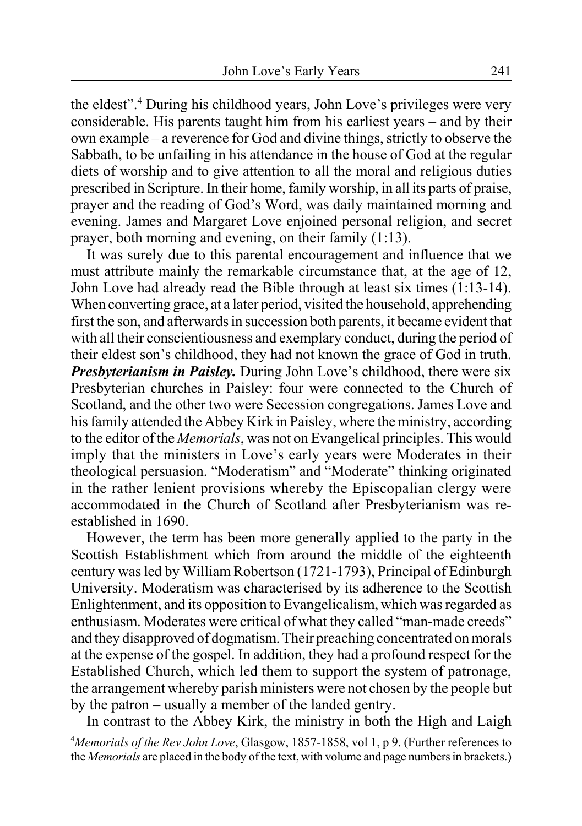the eldest".<sup>4</sup> During his childhood years, John Love's privileges were very considerable. His parents taught him from his earliest years – and by their own example – a reverence for God and divine things, strictly to observe the Sabbath, to be unfailing in his attendance in the house of God at the regular diets of worship and to give attention to all the moral and religious duties prescribed in Scripture. In their home, family worship, in all its parts of praise, prayer and the reading of God's Word, was daily maintained morning and evening. James and Margaret Love enjoined personal religion, and secret prayer, both morning and evening, on their family (1:13).

It was surely due to this parental encouragement and influence that we must attribute mainly the remarkable circumstance that, at the age of 12 John Love had already read the Bible through at least six times (1:13-14). When converting grace, at a later period, visited the household, apprehending first the son, and afterwards in succession both parents, it became evident that with all their conscientiousness and exemplary conduct, during the period of their eldest son's childhood, they had not known the grace of God in truth. *Presbyterianism in Paisley.* During John Love's childhood, there were six Presbyterian churches in Paisley: four were connected to the Church of Scotland, and the other two were Secession congregations. James Love and his family attended the Abbey Kirk in Paisley, where the ministry, according to the editor of the *Memorials*, was not on Evangelical principles. This would imply that the ministers in Love's early years were Moderates in their theological persuasion. "Moderatism" and "Moderate" thinking originated in the rather lenient provisions whereby the Episcopalian clergy were accommodated in the Church of Scotland after Presbyterianism was reestablished in 1690.

However, the term has been more generally applied to the party in the Scottish Establishment which from around the middle of the eighteenth century was led by William Robertson (1721-1793), Principal of Edinburgh University. Moderatism was characterised by its adherence to the Scottish Enlightenment, and its opposition to Evangelicalism, which was regarded as enthusiasm. Moderates were critical of what they called "man-made creeds" and they disapproved of dogmatism. Their preaching concentrated on morals at the expense of the gospel. In addition, they had a profound respect for the Established Church, which led them to support the system of patronage, the arrangement whereby parish ministers were not chosen by the people but by the patron – usually a member of the landed gentry.

In contrast to the Abbey Kirk, the ministry in both the High and Laigh 4 *Memorials of the Rev John Love*, Glasgow, 1857-1858, vol 1, p 9. (Further references to the *Memorials* are placed in the body of the text, with volume and page numbers in brackets.)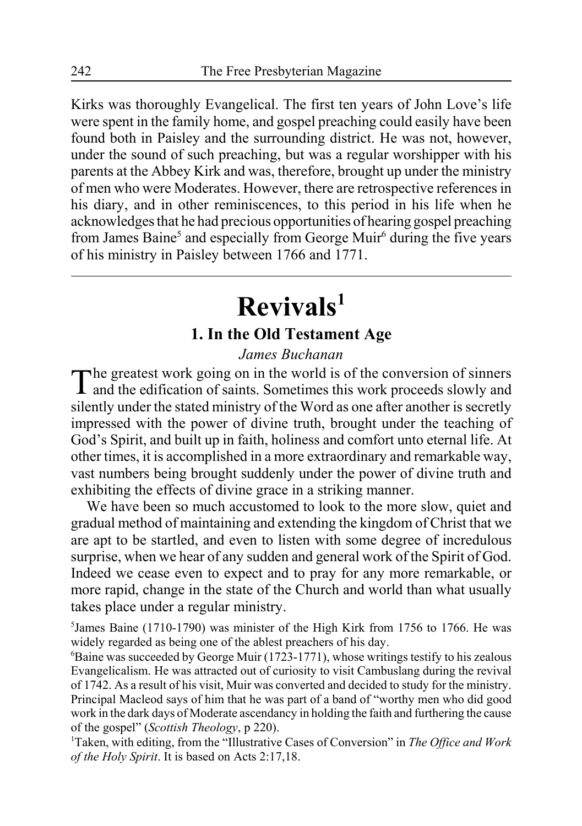Kirks was thoroughly Evangelical. The first ten years of John Love's life were spent in the family home, and gospel preaching could easily have been found both in Paisley and the surrounding district. He was not, however, under the sound of such preaching, but was a regular worshipper with his parents at the Abbey Kirk and was, therefore, brought up under the ministry of men who were Moderates. However, there are retrospective references in his diary, and in other reminiscences, to this period in his life when he acknowledges that he had precious opportunities of hearing gospel preaching from James Baine<sup>5</sup> and especially from George Muir<sup>6</sup> during the five years of his ministry in Paisley between 1766 and 1771.

# **Revivals1**

### **1. In the Old Testament Age**

### *James Buchanan*

The greatest work going on in the world is of the conversion of sinners<br>and the edification of saints. Sometimes this work proceeds slowly and silently under the stated ministry of the Word as one after another is secretly impressed with the power of divine truth, brought under the teaching of God's Spirit, and built up in faith, holiness and comfort unto eternal life. At other times, it is accomplished in a more extraordinary and remarkable way, vast numbers being brought suddenly under the power of divine truth and exhibiting the effects of divine grace in a striking manner.

We have been so much accustomed to look to the more slow, quiet and gradual method of maintaining and extending the kingdom of Christ that we are apt to be startled, and even to listen with some degree of incredulous surprise, when we hear of any sudden and general work of the Spirit of God. Indeed we cease even to expect and to pray for any more remarkable, or more rapid, change in the state of the Church and world than what usually takes place under a regular ministry.

<sup>5</sup>James Baine (1710-1790) was minister of the High Kirk from 1756 to 1766. He was widely regarded as being one of the ablest preachers of his day.

6 Baine was succeeded by George Muir (1723-1771), whose writings testify to his zealous Evangelicalism. He was attracted out of curiosity to visit Cambuslang during the revival of 1742. As a result of his visit, Muir was converted and decided to study for the ministry. Principal Macleod says of him that he was part of a band of "worthy men who did good work in the dark days of Moderate ascendancy in holding the faith and furthering the cause of the gospel" (*Scottish Theology*, p 220).

1 Taken, with editing, from the "Illustrative Cases of Conversion" in *The Office and Work of the Holy Spirit*. It is based on Acts 2:17,18.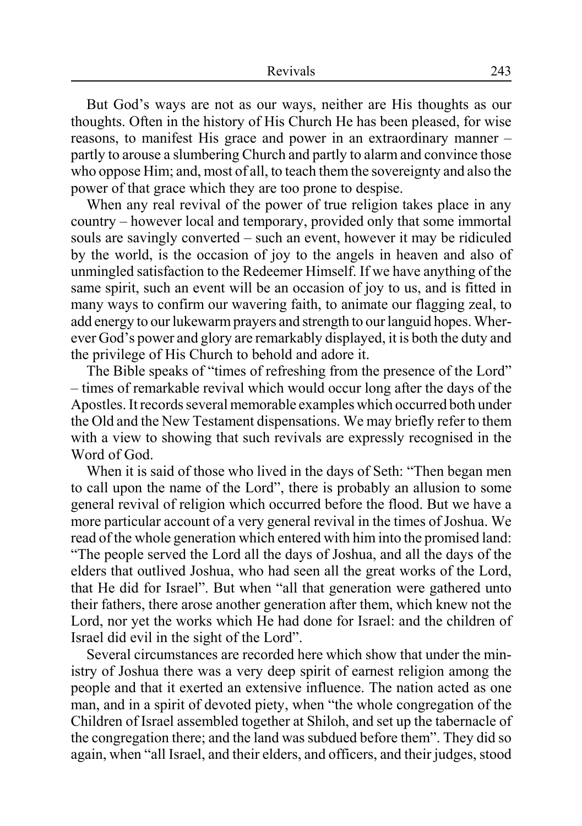But God's ways are not as our ways, neither are His thoughts as our thoughts. Often in the history of His Church He has been pleased, for wise reasons, to manifest His grace and power in an extraordinary manner – partly to arouse a slumbering Church and partly to alarm and convince those who oppose Him; and, most of all, to teach them the sovereignty and also the power of that grace which they are too prone to despise.

When any real revival of the power of true religion takes place in any country – however local and temporary, provided only that some immortal souls are savingly converted – such an event, however it may be ridiculed by the world, is the occasion of joy to the angels in heaven and also of unmingled satisfaction to the Redeemer Himself. If we have anything of the same spirit, such an event will be an occasion of joy to us, and is fitted in many ways to confirm our wavering faith, to animate our flagging zeal, to add energy to our lukewarm prayers and strength to our languid hopes. Wherever God's power and glory are remarkably displayed, it is both the duty and the privilege of His Church to behold and adore it.

The Bible speaks of "times of refreshing from the presence of the Lord" – times of remarkable revival which would occur long after the days of the Apostles. It records several memorable examples which occurred both under the Old and the New Testament dispensations. We may briefly refer to them with a view to showing that such revivals are expressly recognised in the Word of God.

When it is said of those who lived in the days of Seth: "Then began men to call upon the name of the Lord", there is probably an allusion to some general revival of religion which occurred before the flood. But we have a more particular account of a very general revival in the times of Joshua. We read of the whole generation which entered with him into the promised land: "The people served the Lord all the days of Joshua, and all the days of the elders that outlived Joshua, who had seen all the great works of the Lord, that He did for Israel". But when "all that generation were gathered unto their fathers, there arose another generation after them, which knew not the Lord, nor yet the works which He had done for Israel: and the children of Israel did evil in the sight of the Lord".

Several circumstances are recorded here which show that under the ministry of Joshua there was a very deep spirit of earnest religion among the people and that it exerted an extensive influence. The nation acted as one man, and in a spirit of devoted piety, when "the whole congregation of the Children of Israel assembled together at Shiloh, and set up the tabernacle of the congregation there; and the land was subdued before them". They did so again, when "all Israel, and their elders, and officers, and their judges, stood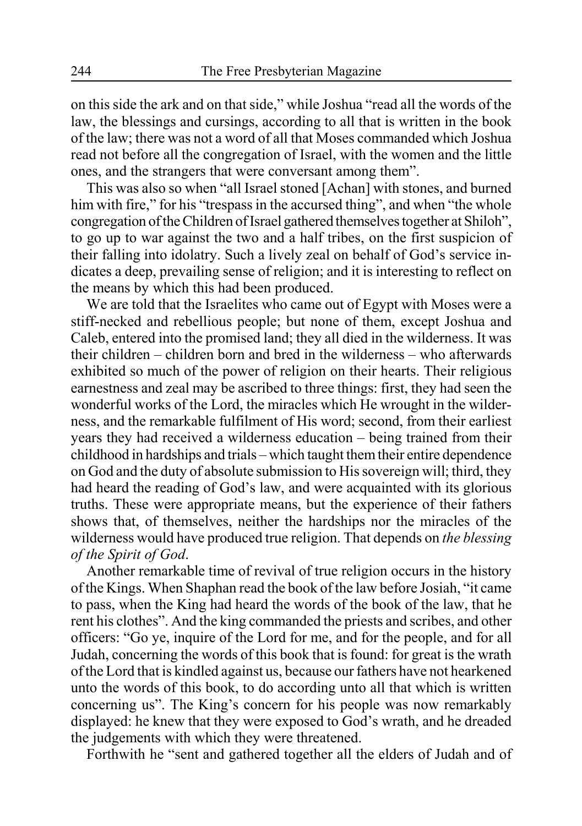on this side the ark and on that side," while Joshua "read all the words of the law, the blessings and cursings, according to all that is written in the book of the law; there was not a word of all that Moses commanded which Joshua read not before all the congregation of Israel, with the women and the little ones, and the strangers that were conversant among them".

This was also so when "all Israel stoned [Achan] with stones, and burned him with fire," for his "trespass in the accursed thing", and when "the whole congregation of the Children of Israel gathered themselves together at Shiloh", to go up to war against the two and a half tribes, on the first suspicion of their falling into idolatry. Such a lively zeal on behalf of God's service indicates a deep, prevailing sense of religion; and it is interesting to reflect on the means by which this had been produced.

We are told that the Israelites who came out of Egypt with Moses were a stiff-necked and rebellious people; but none of them, except Joshua and Caleb, entered into the promised land; they all died in the wilderness. It was their children – children born and bred in the wilderness – who afterwards exhibited so much of the power of religion on their hearts. Their religious earnestness and zeal may be ascribed to three things: first, they had seen the wonderful works of the Lord, the miracles which He wrought in the wilderness, and the remarkable fulfilment of His word; second, from their earliest years they had received a wilderness education – being trained from their childhood in hardships and trials – which taught them their entire dependence on God and the duty of absolute submission to His sovereign will; third, they had heard the reading of God's law, and were acquainted with its glorious truths. These were appropriate means, but the experience of their fathers shows that, of themselves, neither the hardships nor the miracles of the wilderness would have produced true religion. That depends on *the blessing of the Spirit of God*.

Another remarkable time of revival of true religion occurs in the history of the Kings. When Shaphan read the book of the law before Josiah, "it came to pass, when the King had heard the words of the book of the law, that he rent his clothes". And the king commanded the priests and scribes, and other officers: "Go ye, inquire of the Lord for me, and for the people, and for all Judah, concerning the words of this book that is found: for great is the wrath of the Lord that is kindled against us, because our fathers have not hearkened unto the words of this book, to do according unto all that which is written concerning us". The King's concern for his people was now remarkably displayed: he knew that they were exposed to God's wrath, and he dreaded the judgements with which they were threatened.

Forthwith he "sent and gathered together all the elders of Judah and of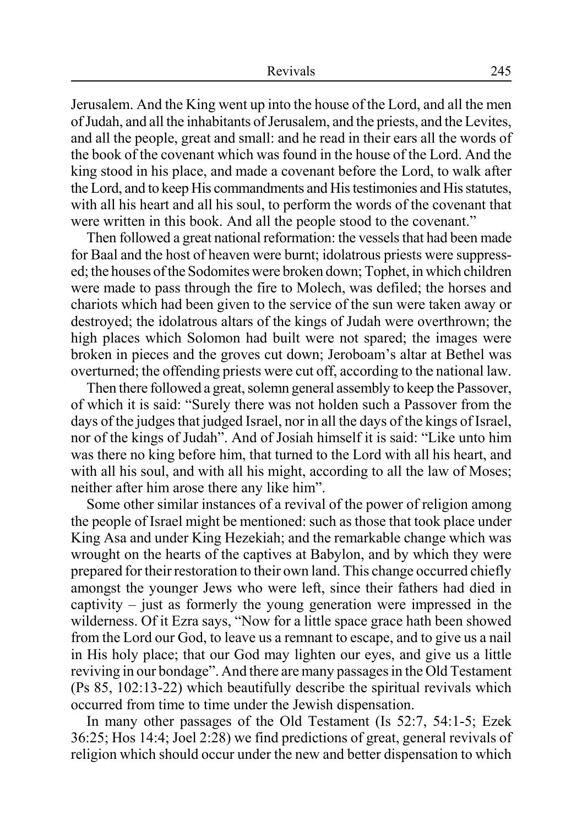Jerusalem. And the King went up into the house of the Lord, and all the men of Judah, and all the inhabitants of Jerusalem, and the priests, and the Levites, and all the people, great and small: and he read in their ears all the words of the book of the covenant which was found in the house of the Lord. And the king stood in his place, and made a covenant before the Lord, to walk after the Lord, and to keep His commandments and His testimonies and His statutes, with all his heart and all his soul, to perform the words of the covenant that were written in this book. And all the people stood to the covenant."

Then followed a great national reformation: the vessels that had been made for Baal and the host of heaven were burnt; idolatrous priests were suppressed; the houses of the Sodomites were broken down; Tophet, in which children were made to pass through the fire to Molech, was defiled; the horses and chariots which had been given to the service of the sun were taken away or destroyed; the idolatrous altars of the kings of Judah were overthrown; the high places which Solomon had built were not spared; the images were broken in pieces and the groves cut down; Jeroboam's altar at Bethel was overturned; the offending priests were cut off, according to the national law.

Then there followed a great, solemn general assembly to keep the Passover, of which it is said: "Surely there was not holden such a Passover from the days of the judges that judged Israel, nor in all the days of the kings of Israel, nor of the kings of Judah". And of Josiah himself it is said: "Like unto him was there no king before him, that turned to the Lord with all his heart, and with all his soul, and with all his might, according to all the law of Moses; neither after him arose there any like him".

Some other similar instances of a revival of the power of religion among the people of Israel might be mentioned: such as those that took place under King Asa and under King Hezekiah; and the remarkable change which was wrought on the hearts of the captives at Babylon, and by which they were prepared for their restoration to their own land. This change occurred chiefly amongst the younger Jews who were left, since their fathers had died in captivity – just as formerly the young generation were impressed in the wilderness. Of it Ezra says, "Now for a little space grace hath been showed from the Lord our God, to leave us a remnant to escape, and to give us a nail in His holy place; that our God may lighten our eyes, and give us a little reviving in our bondage". And there are many passages in the Old Testament (Ps 85, 102:13-22) which beautifully describe the spiritual revivals which occurred from time to time under the Jewish dispensation.

In many other passages of the Old Testament (Is 52:7, 54:1-5; Ezek 36:25; Hos 14:4; Joel 2:28) we find predictions of great, general revivals of religion which should occur under the new and better dispensation to which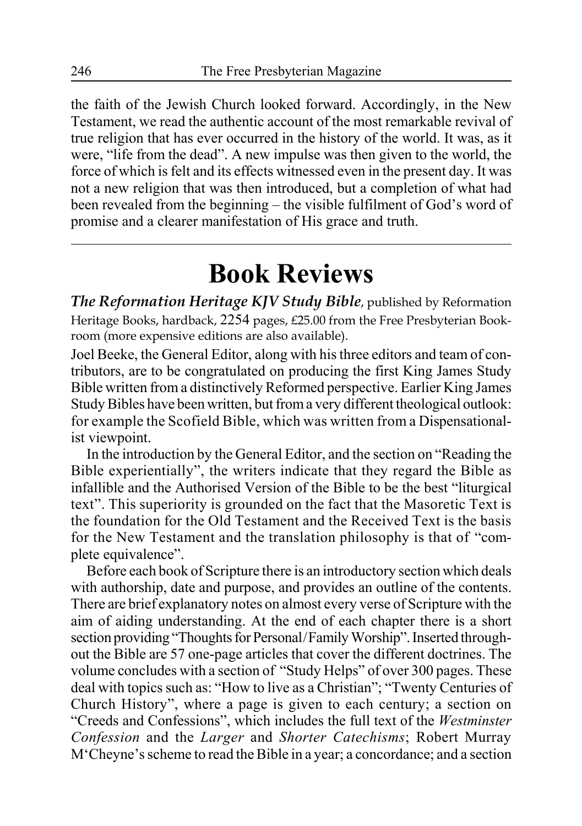the faith of the Jewish Church looked forward. Accordingly, in the New Testament, we read the authentic account of the most remarkable revival of true religion that has ever occurred in the history of the world. It was, as it were, "life from the dead". A new impulse was then given to the world, the force of which is felt and its effects witnessed even in the present day. It was not a new religion that was then introduced, but a completion of what had been revealed from the beginning – the visible fulfilment of God's word of promise and a clearer manifestation of His grace and truth.

# **Book Reviews**

*The Reformation Heritage KJV Study Bible*, published by Reformation Heritage Books, hardback, 2254 pages, £25.00 from the Free Presbyterian Bookroom (more expensive editions are also available).

Joel Beeke, the General Editor, along with his three editors and team of contributors, are to be congratulated on producing the first King James Study Bible written from a distinctively Reformed perspective. Earlier King James Study Bibles have been written, but from a very different theological outlook: for example the Scofield Bible, which was written from a Dispensationalist viewpoint.

In the introduction by the General Editor, and the section on "Reading the Bible experientially", the writers indicate that they regard the Bible as infallible and the Authorised Version of the Bible to be the best "liturgical text". This superiority is grounded on the fact that the Masoretic Text is the foundation for the Old Testament and the Received Text is the basis for the New Testament and the translation philosophy is that of "complete equivalence".

Before each book of Scripture there is an introductory section which deals with authorship, date and purpose, and provides an outline of the contents. There are brief explanatory notes on almost every verse of Scripture with the aim of aiding understanding. At the end of each chapter there is a short section providing "Thoughts for Personal/Family Worship". Inserted throughout the Bible are 57 one-page articles that cover the different doctrines. The volume concludes with a section of "Study Helps" of over 300 pages. These deal with topics such as: "How to live as a Christian"; "Twenty Centuries of Church History", where a page is given to each century; a section on "Creeds and Confessions", which includes the full text of the *Westminster Confession* and the *Larger* and *Shorter Catechisms*; Robert Murray M'Cheyne's scheme to read the Bible in a year; a concordance; and a section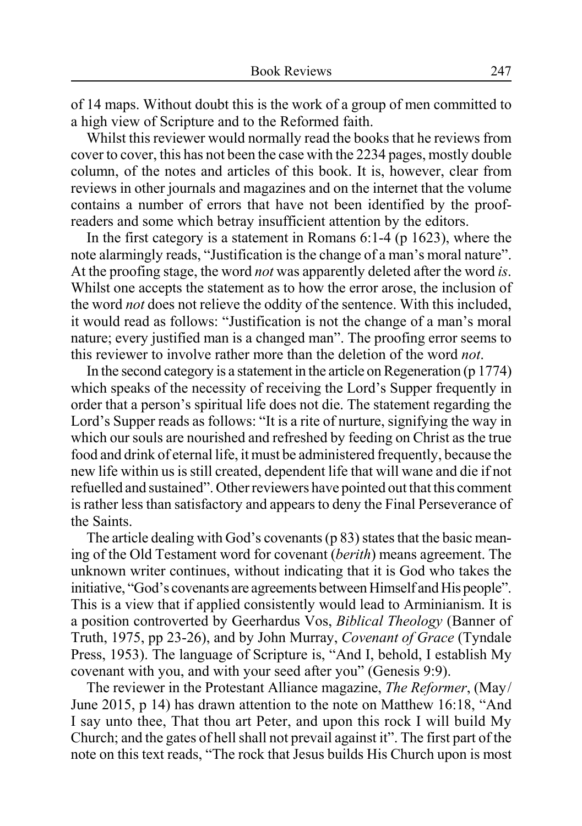of 14 maps. Without doubt this is the work of a group of men committed to a high view of Scripture and to the Reformed faith.

Whilst this reviewer would normally read the books that he reviews from cover to cover, this has not been the case with the 2234 pages, mostly double column, of the notes and articles of this book. It is, however, clear from reviews in other journals and magazines and on the internet that the volume contains a number of errors that have not been identified by the proofreaders and some which betray insufficient attention by the editors.

In the first category is a statement in Romans  $6:1-4$  (p 1623), where the note alarmingly reads, "Justification is the change of a man's moral nature". At the proofing stage, the word *not* was apparently deleted after the word *is*. Whilst one accepts the statement as to how the error arose, the inclusion of the word *not* does not relieve the oddity of the sentence. With this included, it would read as follows: "Justification is not the change of a man's moral nature; every justified man is a changed man". The proofing error seems to this reviewer to involve rather more than the deletion of the word *not*.

In the second category is a statement in the article on Regeneration (p 1774) which speaks of the necessity of receiving the Lord's Supper frequently in order that a person's spiritual life does not die. The statement regarding the Lord's Supper reads as follows: "It is a rite of nurture, signifying the way in which our souls are nourished and refreshed by feeding on Christ as the true food and drink of eternal life, it must be administered frequently, because the new life within us is still created, dependent life that will wane and die if not refuelled and sustained". Other reviewers have pointed out that this comment is rather less than satisfactory and appears to deny the Final Perseverance of the Saints.

The article dealing with God's covenants (p 83) states that the basic meaning of the Old Testament word for covenant (*berith*) means agreement. The unknown writer continues, without indicating that it is God who takes the initiative, "God's covenants are agreements between Himself and His people". This is a view that if applied consistently would lead to Arminianism. It is a position controverted by Geerhardus Vos, *Biblical Theology* (Banner of Truth, 1975, pp 23-26), and by John Murray, *Covenant of Grace* (Tyndale Press, 1953). The language of Scripture is, "And I, behold, I establish My covenant with you, and with your seed after you" (Genesis 9:9).

The reviewer in the Protestant Alliance magazine, *The Reformer*, (May/ June 2015, p 14) has drawn attention to the note on Matthew 16:18, "And I say unto thee, That thou art Peter, and upon this rock I will build My Church; and the gates of hell shall not prevail against it". The first part of the note on this text reads, "The rock that Jesus builds His Church upon is most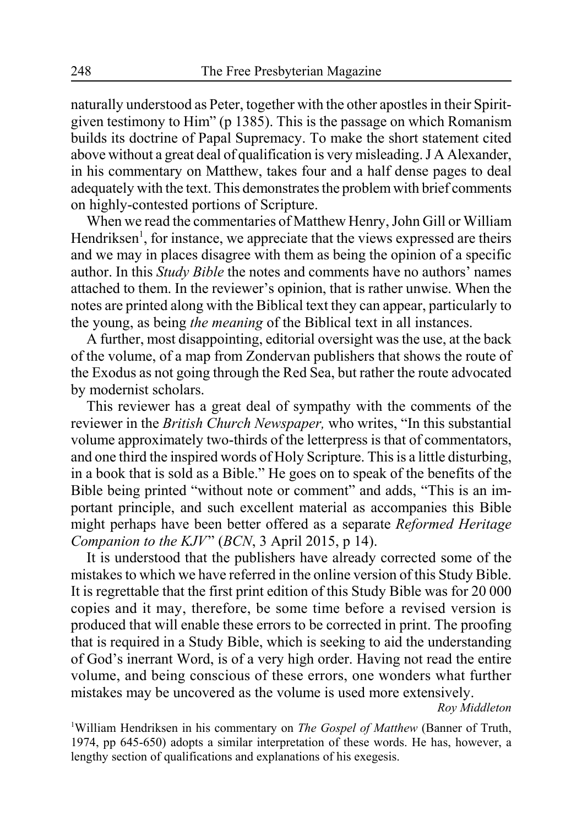naturally understood as Peter, together with the other apostles in their Spiritgiven testimony to Him" (p 1385). This is the passage on which Romanism builds its doctrine of Papal Supremacy. To make the short statement cited above without a great deal of qualification is very misleading. J A Alexander, in his commentary on Matthew, takes four and a half dense pages to deal adequately with the text. This demonstrates the problem with brief comments on highly-contested portions of Scripture.

When we read the commentaries of Matthew Henry, John Gill or William Hendriksen<sup>1</sup>, for instance, we appreciate that the views expressed are theirs and we may in places disagree with them as being the opinion of a specific author. In this *Study Bible* the notes and comments have no authors' names attached to them. In the reviewer's opinion, that is rather unwise. When the notes are printed along with the Biblical text they can appear, particularly to the young, as being *the meaning* of the Biblical text in all instances.

A further, most disappointing, editorial oversight was the use, at the back of the volume, of a map from Zondervan publishers that shows the route of the Exodus as not going through the Red Sea, but rather the route advocated by modernist scholars.

This reviewer has a great deal of sympathy with the comments of the reviewer in the *British Church Newspaper,* who writes, "In this substantial volume approximately two-thirds of the letterpress is that of commentators, and one third the inspired words of Holy Scripture. This is a little disturbing, in a book that is sold as a Bible." He goes on to speak of the benefits of the Bible being printed "without note or comment" and adds, "This is an important principle, and such excellent material as accompanies this Bible might perhaps have been better offered as a separate *Reformed Heritage Companion to the KJV*" (*BCN*, 3 April 2015, p 14).

It is understood that the publishers have already corrected some of the mistakes to which we have referred in the online version of this Study Bible. It is regrettable that the first print edition of this Study Bible was for 20 000 copies and it may, therefore, be some time before a revised version is produced that will enable these errors to be corrected in print. The proofing that is required in a Study Bible, which is seeking to aid the understanding of God's inerrant Word, is of a very high order. Having not read the entire volume, and being conscious of these errors, one wonders what further mistakes may be uncovered as the volume is used more extensively.

*Roy Middleton*

<sup>1</sup>William Hendriksen in his commentary on *The Gospel of Matthew* (Banner of Truth, 1974, pp 645-650) adopts a similar interpretation of these words. He has, however, a lengthy section of qualifications and explanations of his exegesis.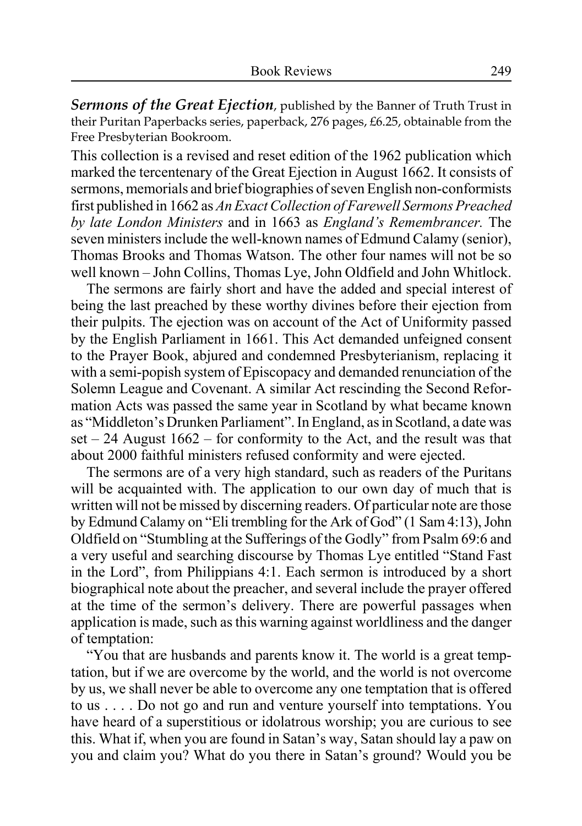*Sermons of the Great Ejection*, published by the Banner of Truth Trust in their Puritan Paperbacks series, paperback, 276 pages, £6.25, obtainable from the Free Presbyterian Bookroom.

This collection is a revised and reset edition of the 1962 publication which marked the tercentenary of the Great Ejection in August 1662. It consists of sermons, memorials and brief biographies of seven English non-conformists first published in 1662 as *An Exact Collection of Farewell Sermons Preached by late London Ministers* and in 1663 as *England's Remembrancer.* The seven ministers include the well-known names of Edmund Calamy (senior), Thomas Brooks and Thomas Watson. The other four names will not be so well known – John Collins, Thomas Lye, John Oldfield and John Whitlock.

The sermons are fairly short and have the added and special interest of being the last preached by these worthy divines before their ejection from their pulpits. The ejection was on account of the Act of Uniformity passed by the English Parliament in 1661. This Act demanded unfeigned consent to the Prayer Book, abjured and condemned Presbyterianism, replacing it with a semi-popish system of Episcopacy and demanded renunciation of the Solemn League and Covenant. A similar Act rescinding the Second Reformation Acts was passed the same year in Scotland by what became known as "Middleton's Drunken Parliament". In England, as in Scotland, a date was set – 24 August 1662 – for conformity to the Act, and the result was that about 2000 faithful ministers refused conformity and were ejected.

The sermons are of a very high standard, such as readers of the Puritans will be acquainted with. The application to our own day of much that is written will not be missed by discerning readers. Of particular note are those by Edmund Calamy on "Eli trembling for the Ark of God" (1 Sam 4:13), John Oldfield on "Stumbling at the Sufferings of the Godly" from Psalm 69:6 and a very useful and searching discourse by Thomas Lye entitled "Stand Fast in the Lord", from Philippians 4:1. Each sermon is introduced by a short biographical note about the preacher, and several include the prayer offered at the time of the sermon's delivery. There are powerful passages when application is made, such as this warning against worldliness and the danger of temptation:

"You that are husbands and parents know it. The world is a great temptation, but if we are overcome by the world, and the world is not overcome by us, we shall never be able to overcome any one temptation that is offered to us . . . . Do not go and run and venture yourself into temptations. You have heard of a superstitious or idolatrous worship; you are curious to see this. What if, when you are found in Satan's way, Satan should lay a paw on you and claim you? What do you there in Satan's ground? Would you be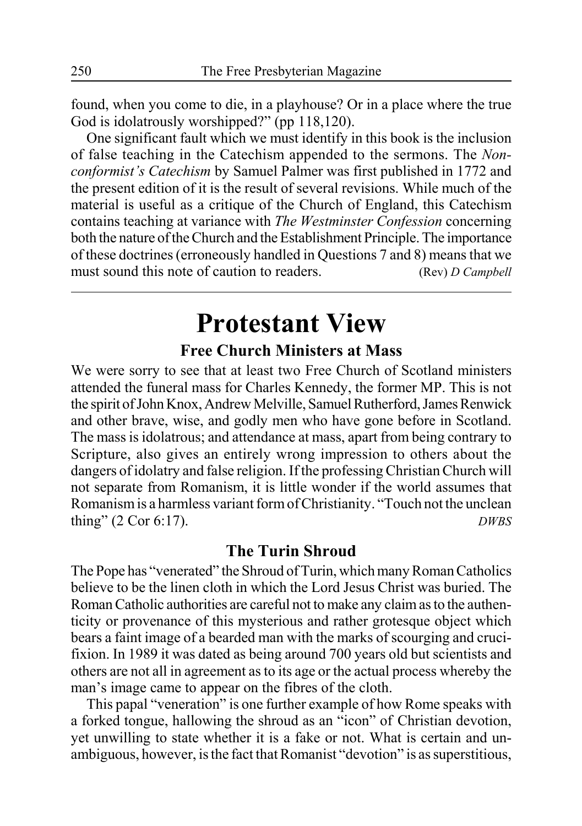found, when you come to die, in a playhouse? Or in a place where the true God is idolatrously worshipped?" (pp 118,120).

One significant fault which we must identify in this book is the inclusion of false teaching in the Catechism appended to the sermons. The *Nonconformist's Catechism* by Samuel Palmer was first published in 1772 and the present edition of it is the result of several revisions. While much of the material is useful as a critique of the Church of England, this Catechism contains teaching at variance with *The Westminster Confession* concerning both the nature of the Church and the Establishment Principle. The importance of these doctrines (erroneously handled in Questions 7 and 8) means that we must sound this note of caution to readers. (Rev) *D Campbell* 

# **Protestant View**

### **Free Church Ministers at Mass**

We were sorry to see that at least two Free Church of Scotland ministers attended the funeral mass for Charles Kennedy, the former MP. This is not the spirit of John Knox, Andrew Melville, Samuel Rutherford, James Renwick and other brave, wise, and godly men who have gone before in Scotland. The mass is idolatrous; and attendance at mass, apart from being contrary to Scripture, also gives an entirely wrong impression to others about the dangers of idolatry and false religion. If the professing Christian Church will not separate from Romanism, it is little wonder if the world assumes that Romanism is a harmless variant form of Christianity. "Touch not the unclean thing" (2 Cor 6:17). *DWBS*

### **The Turin Shroud**

The Pope has "venerated" the Shroud of Turin, which many Roman Catholics believe to be the linen cloth in which the Lord Jesus Christ was buried. The Roman Catholic authorities are careful not to make any claim as to the authenticity or provenance of this mysterious and rather grotesque object which bears a faint image of a bearded man with the marks of scourging and crucifixion. In 1989 it was dated as being around 700 years old but scientists and others are not all in agreement as to its age or the actual process whereby the man's image came to appear on the fibres of the cloth.

This papal "veneration" is one further example of how Rome speaks with a forked tongue, hallowing the shroud as an "icon" of Christian devotion, yet unwilling to state whether it is a fake or not. What is certain and unambiguous, however, is the fact that Romanist "devotion" is as superstitious,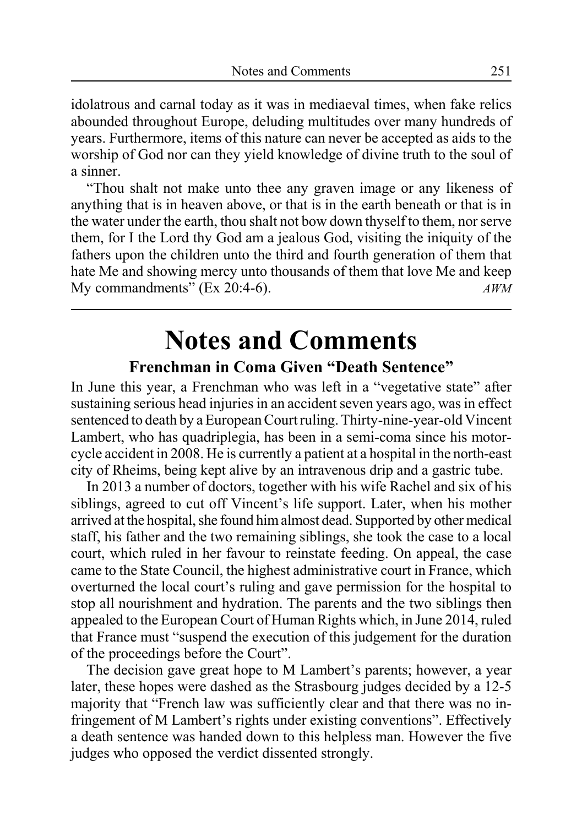idolatrous and carnal today as it was in mediaeval times, when fake relics abounded throughout Europe, deluding multitudes over many hundreds of years. Furthermore, items of this nature can never be accepted as aids to the worship of God nor can they yield knowledge of divine truth to the soul of a sinner.

"Thou shalt not make unto thee any graven image or any likeness of anything that is in heaven above, or that is in the earth beneath or that is in the water under the earth, thou shalt not bow down thyself to them, nor serve them, for I the Lord thy God am a jealous God, visiting the iniquity of the fathers upon the children unto the third and fourth generation of them that hate Me and showing mercy unto thousands of them that love Me and keep My commandments"  $(EX 20:4-6)$ . *AWM* 

# **Notes and Comments**

### **Frenchman in Coma Given "Death Sentence"**

In June this year, a Frenchman who was left in a "vegetative state" after sustaining serious head injuries in an accident seven years ago, was in effect sentenced to death by a European Court ruling. Thirty-nine-year-old Vincent Lambert, who has quadriplegia, has been in a semi-coma since his motorcycle accident in 2008. He is currently a patient at a hospital in the north-east city of Rheims, being kept alive by an intravenous drip and a gastric tube.

In 2013 a number of doctors, together with his wife Rachel and six of his siblings, agreed to cut off Vincent's life support. Later, when his mother arrived at the hospital, she found him almost dead. Supported by other medical staff, his father and the two remaining siblings, she took the case to a local court, which ruled in her favour to reinstate feeding. On appeal, the case came to the State Council, the highest administrative court in France, which overturned the local court's ruling and gave permission for the hospital to stop all nourishment and hydration. The parents and the two siblings then appealed to the European Court of Human Rights which, in June 2014, ruled that France must "suspend the execution of this judgement for the duration of the proceedings before the Court".

The decision gave great hope to M Lambert's parents; however, a year later, these hopes were dashed as the Strasbourg judges decided by a 12-5 majority that "French law was sufficiently clear and that there was no infringement of M Lambert's rights under existing conventions". Effectively a death sentence was handed down to this helpless man. However the five judges who opposed the verdict dissented strongly.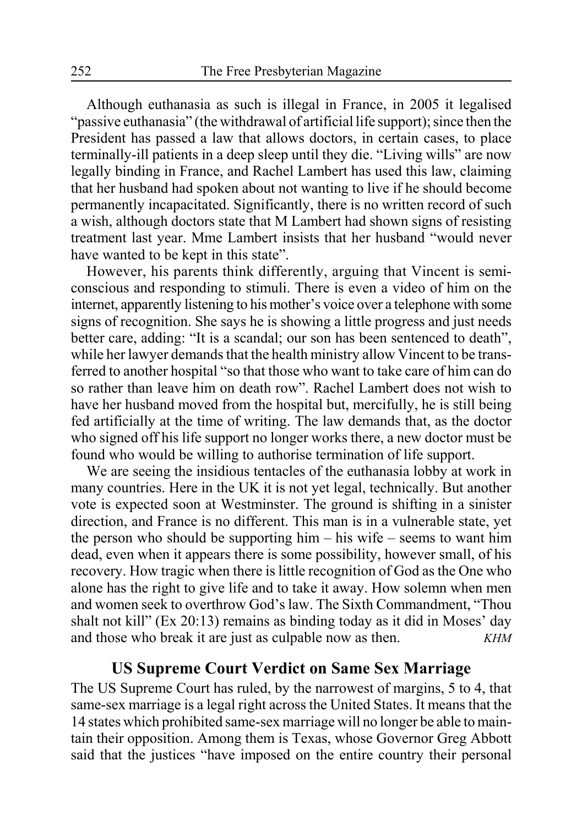Although euthanasia as such is illegal in France, in 2005 it legalised "passive euthanasia" (the withdrawal of artificial life support); since then the President has passed a law that allows doctors, in certain cases, to place terminally-ill patients in a deep sleep until they die. "Living wills" are now legally binding in France, and Rachel Lambert has used this law, claiming that her husband had spoken about not wanting to live if he should become permanently incapacitated. Significantly, there is no written record of such a wish, although doctors state that M Lambert had shown signs of resisting treatment last year. Mme Lambert insists that her husband "would never have wanted to be kept in this state".

However, his parents think differently, arguing that Vincent is semiconscious and responding to stimuli. There is even a video of him on the internet, apparently listening to his mother's voice over a telephone with some signs of recognition. She says he is showing a little progress and just needs better care, adding: "It is a scandal; our son has been sentenced to death", while her lawyer demands that the health ministry allow Vincent to be transferred to another hospital "so that those who want to take care of him can do so rather than leave him on death row". Rachel Lambert does not wish to have her husband moved from the hospital but, mercifully, he is still being fed artificially at the time of writing. The law demands that, as the doctor who signed off his life support no longer works there, a new doctor must be found who would be willing to authorise termination of life support.

We are seeing the insidious tentacles of the euthanasia lobby at work in many countries. Here in the UK it is not yet legal, technically. But another vote is expected soon at Westminster. The ground is shifting in a sinister direction, and France is no different. This man is in a vulnerable state, yet the person who should be supporting him – his wife – seems to want him dead, even when it appears there is some possibility, however small, of his recovery. How tragic when there is little recognition of God as the One who alone has the right to give life and to take it away. How solemn when men and women seek to overthrow God's law. The Sixth Commandment, "Thou shalt not kill" (Ex 20:13) remains as binding today as it did in Moses' day and those who break it are just as culpable now as then. *KHM*

### **US Supreme Court Verdict on Same Sex Marriage**

The US Supreme Court has ruled, by the narrowest of margins, 5 to 4, that same-sex marriage is a legal right across the United States. It means that the 14 states which prohibited same-sex marriage will no longer be able to maintain their opposition. Among them is Texas, whose Governor Greg Abbott said that the justices "have imposed on the entire country their personal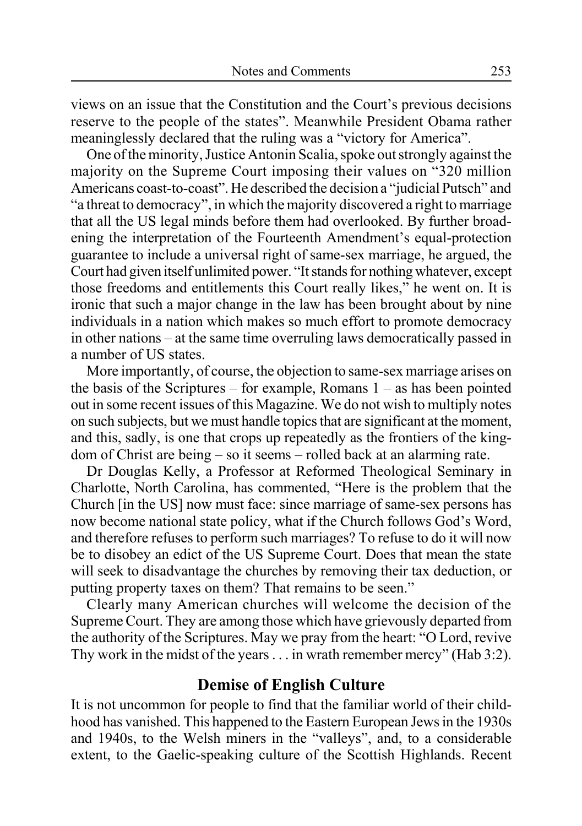views on an issue that the Constitution and the Court's previous decisions reserve to the people of the states". Meanwhile President Obama rather meaninglessly declared that the ruling was a "victory for America".

One of the minority, Justice Antonin Scalia, spoke out strongly against the majority on the Supreme Court imposing their values on "320 million Americans coast-to-coast". He described the decision a "judicial Putsch" and "a threat to democracy", in which the majority discovered a right to marriage that all the US legal minds before them had overlooked. By further broadening the interpretation of the Fourteenth Amendment's equal-protection guarantee to include a universal right of same-sex marriage, he argued, the Court had given itself unlimited power. "It stands for nothing whatever, except those freedoms and entitlements this Court really likes," he went on. It is ironic that such a major change in the law has been brought about by nine individuals in a nation which makes so much effort to promote democracy in other nations – at the same time overruling laws democratically passed in a number of US states.

More importantly, of course, the objection to same-sex marriage arises on the basis of the Scriptures – for example, Romans 1 – as has been pointed out in some recent issues of this Magazine. We do not wish to multiply notes on such subjects, but we must handle topics that are significant at the moment, and this, sadly, is one that crops up repeatedly as the frontiers of the kingdom of Christ are being – so it seems – rolled back at an alarming rate.

Dr Douglas Kelly, a Professor at Reformed Theological Seminary in Charlotte, North Carolina, has commented, "Here is the problem that the Church [in the US] now must face: since marriage of same-sex persons has now become national state policy, what if the Church follows God's Word, and therefore refuses to perform such marriages? To refuse to do it will now be to disobey an edict of the US Supreme Court. Does that mean the state will seek to disadvantage the churches by removing their tax deduction, or putting property taxes on them? That remains to be seen."

Clearly many American churches will welcome the decision of the Supreme Court. They are among those which have grievously departed from the authority of the Scriptures. May we pray from the heart: "O Lord, revive Thy work in the midst of the years . . . in wrath remember mercy" (Hab 3:2).

### **Demise of English Culture**

It is not uncommon for people to find that the familiar world of their childhood has vanished. This happened to the Eastern European Jews in the 1930s and 1940s, to the Welsh miners in the "valleys", and, to a considerable extent, to the Gaelic-speaking culture of the Scottish Highlands. Recent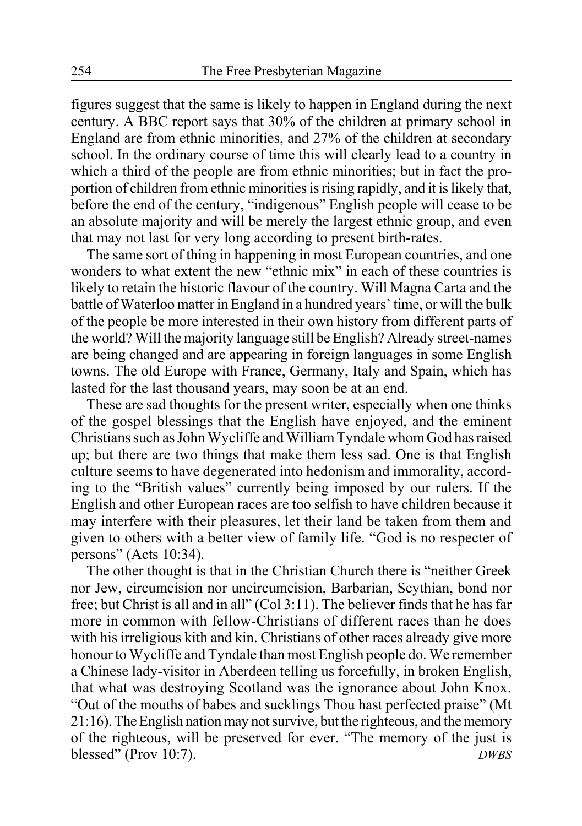figures suggest that the same is likely to happen in England during the next century. A BBC report says that 30% of the children at primary school in England are from ethnic minorities, and 27% of the children at secondary school. In the ordinary course of time this will clearly lead to a country in which a third of the people are from ethnic minorities; but in fact the proportion of children from ethnic minorities is rising rapidly, and it is likely that, before the end of the century, "indigenous" English people will cease to be an absolute majority and will be merely the largest ethnic group, and even that may not last for very long according to present birth-rates.

The same sort of thing in happening in most European countries, and one wonders to what extent the new "ethnic mix" in each of these countries is likely to retain the historic flavour of the country. Will Magna Carta and the battle of Waterloo matter in England in a hundred years' time, or will the bulk of the people be more interested in their own history from different parts of the world? Will the majority language still be English? Already street-names are being changed and are appearing in foreign languages in some English towns. The old Europe with France, Germany, Italy and Spain, which has lasted for the last thousand years, may soon be at an end.

These are sad thoughts for the present writer, especially when one thinks of the gospel blessings that the English have enjoyed, and the eminent Christians such as John Wycliffe and William Tyndale whom God has raised up; but there are two things that make them less sad. One is that English culture seems to have degenerated into hedonism and immorality, according to the "British values" currently being imposed by our rulers. If the English and other European races are too selfish to have children because it may interfere with their pleasures, let their land be taken from them and given to others with a better view of family life. "God is no respecter of persons" (Acts 10:34).

The other thought is that in the Christian Church there is "neither Greek nor Jew, circumcision nor uncircumcision, Barbarian, Scythian, bond nor free; but Christ is all and in all" (Col 3:11). The believer finds that he has far more in common with fellow-Christians of different races than he does with his irreligious kith and kin. Christians of other races already give more honour to Wycliffe and Tyndale than most English people do. We remember a Chinese lady-visitor in Aberdeen telling us forcefully, in broken English, that what was destroying Scotland was the ignorance about John Knox. "Out of the mouths of babes and sucklings Thou hast perfected praise" (Mt 21:16). The English nation may not survive, but the righteous, and the memory of the righteous, will be preserved for ever. "The memory of the just is blessed" (Prov 10:7). *DWBS*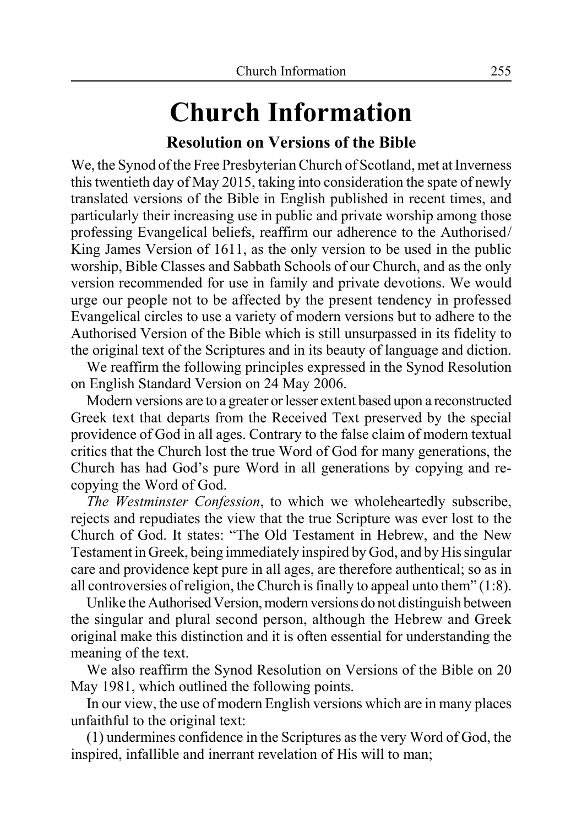# **Church Information**

### **Resolution on Versions of the Bible**

We, the Synod of the Free Presbyterian Church of Scotland, met at Inverness this twentieth day of May 2015, taking into consideration the spate of newly translated versions of the Bible in English published in recent times, and particularly their increasing use in public and private worship among those professing Evangelical beliefs, reaffirm our adherence to the Authorised/ King James Version of 1611, as the only version to be used in the public worship, Bible Classes and Sabbath Schools of our Church, and as the only version recommended for use in family and private devotions. We would urge our people not to be affected by the present tendency in professed Evangelical circles to use a variety of modern versions but to adhere to the Authorised Version of the Bible which is still unsurpassed in its fidelity to the original text of the Scriptures and in its beauty of language and diction.

We reaffirm the following principles expressed in the Synod Resolution on English Standard Version on 24 May 2006.

Modern versions are to a greater or lesser extent based upon a reconstructed Greek text that departs from the Received Text preserved by the special providence of God in all ages. Contrary to the false claim of modern textual critics that the Church lost the true Word of God for many generations, the Church has had God's pure Word in all generations by copying and recopying the Word of God.

*The Westminster Confession*, to which we wholeheartedly subscribe, rejects and repudiates the view that the true Scripture was ever lost to the Church of God. It states: "The Old Testament in Hebrew, and the New Testament in Greek, being immediately inspired by God, and by His singular care and providence kept pure in all ages, are therefore authentical; so as in all controversies of religion, the Church is finally to appeal unto them" (1:8).

Unlike the Authorised Version, modern versions do not distinguish between the singular and plural second person, although the Hebrew and Greek original make this distinction and it is often essential for understanding the meaning of the text.

We also reaffirm the Synod Resolution on Versions of the Bible on 20 May 1981, which outlined the following points.

In our view, the use of modern English versions which are in many places unfaithful to the original text:

(1) undermines confidence in the Scriptures as the very Word of God, the inspired, infallible and inerrant revelation of His will to man;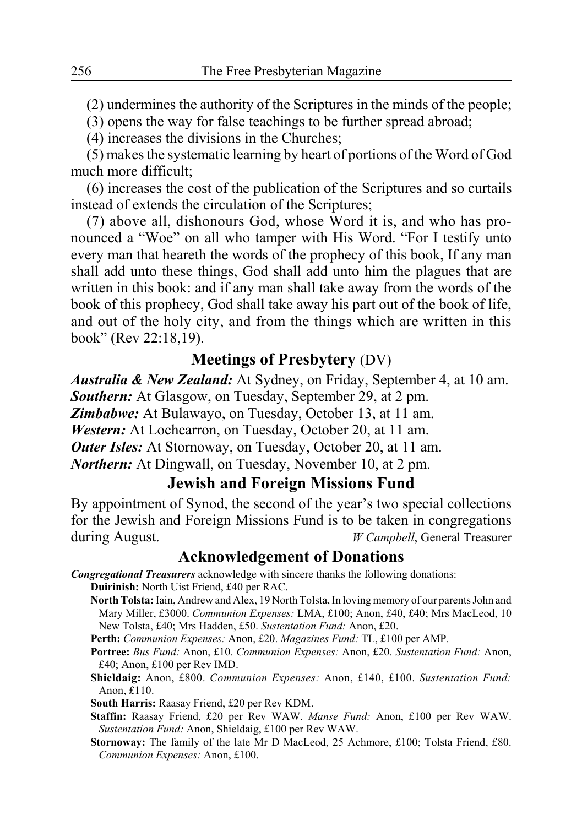(2) undermines the authority of the Scriptures in the minds of the people;

(3) opens the way for false teachings to be further spread abroad;

(4) increases the divisions in the Churches;

(5) makes the systematic learning by heart of portions of the Word of God much more difficult;

(6) increases the cost of the publication of the Scriptures and so curtails instead of extends the circulation of the Scriptures;

(7) above all, dishonours God, whose Word it is, and who has pronounced a "Woe" on all who tamper with His Word. "For I testify unto every man that heareth the words of the prophecy of this book, If any man shall add unto these things, God shall add unto him the plagues that are written in this book: and if any man shall take away from the words of the book of this prophecy, God shall take away his part out of the book of life, and out of the holy city, and from the things which are written in this book" (Rev 22:18,19).

### **Meetings of Presbytery** (DV)

*Australia & New Zealand:* At Sydney, on Friday, September 4, at 10 am. *Southern:* At Glasgow, on Tuesday, September 29, at 2 pm. *Zimbabwe:* At Bulawayo, on Tuesday, October 13, at 11 am. *Western:* At Lochcarron, on Tuesday, October 20, at 11 am. *Outer Isles:* At Stornoway, on Tuesday, October 20, at 11 am. *Northern:* At Dingwall, on Tuesday, November 10, at 2 pm.

### **Jewish and Foreign Missions Fund**

By appointment of Synod, the second of the year's two special collections for the Jewish and Foreign Missions Fund is to be taken in congregations during August. *W Campbell*, General Treasurer

### **Acknowledgement of Donations**

- *Congregational Treasurers* acknowledge with sincere thanks the following donations: **Duirinish:** North Uist Friend, £40 per RAC.
	- **North Tolsta:** Iain, Andrew and Alex, 19 North Tolsta, In loving memory of our parents John and Mary Miller, £3000. *Communion Expenses:* LMA, £100; Anon, £40, £40; Mrs MacLeod, 10 New Tolsta, £40; Mrs Hadden, £50. *Sustentation Fund:* Anon, £20.
	- **Perth:** *Communion Expenses:* Anon, £20. *Magazines Fund:* TL, £100 per AMP.
	- **Portree:** *Bus Fund:* Anon, £10. *Communion Expenses:* Anon, £20. *Sustentation Fund:* Anon, £40; Anon, £100 per Rev IMD.
	- **Shieldaig:** Anon, £800. *Communion Expenses:* Anon, £140, £100. *Sustentation Fund:* Anon, £110.

**South Harris:** Raasay Friend, £20 per Rev KDM.

- **Staffin:** Raasay Friend, £20 per Rev WAW. *Manse Fund:* Anon, £100 per Rev WAW. *Sustentation Fund:* Anon, Shieldaig, £100 per Rev WAW.
- **Stornoway:** The family of the late Mr D MacLeod, 25 Achmore, £100; Tolsta Friend, £80. *Communion Expenses:* Anon, £100.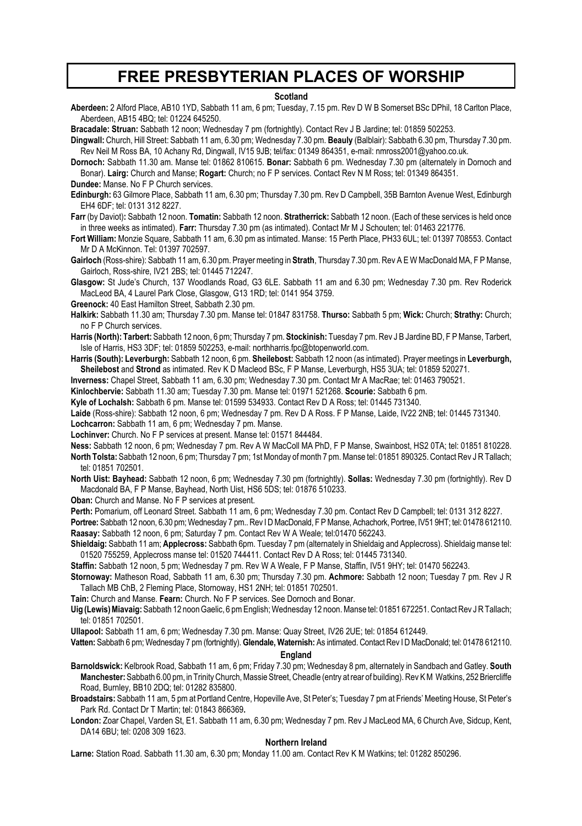### **FREE PRESBYTERIAN PLACES OF WORSHIP**

#### **Scotland**

**Aberdeen:** 2 Alford Place, AB10 1YD, Sabbath 11 am, 6 pm; Tuesday, 7.15 pm. Rev D W B Somerset BSc DPhil, 18 Carlton Place, Aberdeen, AB15 4BQ; tel: 01224 645250.

**Bracadale: Struan:** Sabbath 12 noon; Wednesday 7 pm (fortnightly). Contact Rev J B Jardine; tel: 01859 502253.

**Dingwall:** Church, Hill Street: Sabbath 11 am, 6.30 pm; Wednesday 7.30 pm. **Beauly** (Balblair): Sabbath 6.30 pm, Thursday 7.30 pm. Rev Neil M Ross BA, 10 Achany Rd, Dingwall, IV15 9JB; tel/fax: 01349 864351, e-mail: nmross2001@yahoo.co.uk.

**Dornoch:** Sabbath 11.30 am. Manse tel: 01862 810615. **Bonar:** Sabbath 6 pm. Wednesday 7.30 pm (alternately in Dornoch and Bonar). **Lairg:** Church and Manse; **Rogart:** Church; no F P services. Contact Rev N M Ross; tel: 01349 864351. **Dundee:** Manse. No F P Church services.

**Edinburgh:** 63 Gilmore Place, Sabbath 11 am, 6.30 pm; Thursday 7.30 pm. Rev D Campbell, 35B Barnton Avenue West, Edinburgh EH4 6DF; tel: 0131 312 8227.

**Farr** (by Daviot)**:** Sabbath 12 noon. **Tomatin:** Sabbath 12 noon. **Stratherrick:** Sabbath 12 noon. (Each of these services is held once in three weeks as intimated). **Farr:** Thursday 7.30 pm (as intimated). Contact Mr M J Schouten; tel: 01463 221776.

**Fort William:** Monzie Square, Sabbath 11 am, 6.30 pm as intimated. Manse: 15 Perth Place, PH33 6UL; tel: 01397 708553. Contact Mr D A McKinnon. Tel: 01397 702597.

**Gairloch** (Ross-shire): Sabbath 11 am, 6.30 pm. Prayer meeting in **Strath**, Thursday 7.30 pm. Rev A E W MacDonald MA, F P Manse, Gairloch, Ross-shire, IV21 2BS; tel: 01445 712247.

**Glasgow:** St Jude's Church, 137 Woodlands Road, G3 6LE. Sabbath 11 am and 6.30 pm; Wednesday 7.30 pm. Rev Roderick MacLeod BA, 4 Laurel Park Close, Glasgow, G13 1RD; tel: 0141 954 3759.

**Greenock:** 40 East Hamilton Street, Sabbath 2.30 pm.

**Halkirk:** Sabbath 11.30 am; Thursday 7.30 pm. Manse tel: 01847 831758. **Thurso:** Sabbath 5 pm; **Wick:** Church; **Strathy:** Church; no F P Church services.

**Harris (North): Tarbert:** Sabbath 12 noon, 6 pm; Thursday 7 pm. **Stockinish:** Tuesday 7 pm. Rev J B Jardine BD, F P Manse, Tarbert, Isle of Harris, HS3 3DF; tel: 01859 502253, e-mail: northharris.fpc@btopenworld.com.

**Harris (South): Leverburgh:** Sabbath 12 noon, 6 pm. **Sheilebost:** Sabbath 12 noon (as intimated). Prayer meetings in **Leverburgh, Sheilebost** and **Strond** as intimated. Rev K D Macleod BSc, F P Manse, Leverburgh, HS5 3UA; tel: 01859 520271.

**Inverness:** Chapel Street, Sabbath 11 am, 6.30 pm; Wednesday 7.30 pm. Contact Mr A MacRae; tel: 01463 790521.

**Kinlochbervie:** Sabbath 11.30 am; Tuesday 7.30 pm. Manse tel: 01971 521268. **Scourie:** Sabbath 6 pm.

**Kyle of Lochalsh:** Sabbath 6 pm. Manse tel: 01599 534933. Contact Rev D A Ross; tel: 01445 731340.

**Laide** (Ross-shire): Sabbath 12 noon, 6 pm; Wednesday 7 pm. Rev D A Ross. F P Manse, Laide, IV22 2NB; tel: 01445 731340. **Lochcarron:** Sabbath 11 am, 6 pm; Wednesday 7 pm. Manse.

**Lochinver:** Church. No F P services at present. Manse tel: 01571 844484.

**Ness:** Sabbath 12 noon, 6 pm; Wednesday 7 pm. Rev A W MacColl MA PhD, F P Manse, Swainbost, HS2 0TA; tel: 01851 810228. **North Tolsta:** Sabbath 12 noon, 6 pm; Thursday 7 pm; 1st Monday of month 7 pm. Manse tel: 01851 890325. Contact Rev J R Tallach; tel: 01851 702501.

**North Uist: Bayhead:** Sabbath 12 noon, 6 pm; Wednesday 7.30 pm (fortnightly). **Sollas:** Wednesday 7.30 pm (fortnightly). Rev D Macdonald BA, F P Manse, Bayhead, North Uist, HS6 5DS; tel: 01876 510233.

**Oban:** Church and Manse. No F P services at present.

**Perth:** Pomarium, off Leonard Street. Sabbath 11 am, 6 pm; Wednesday 7.30 pm. Contact Rev D Campbell; tel: 0131 312 8227.

**Portree:** Sabbath 12 noon, 6.30 pm; Wednesday 7 pm.. Rev I D MacDonald, F P Manse, Achachork, Portree, IV51 9HT; tel: 01478 612110. **Raasay:** Sabbath 12 noon, 6 pm; Saturday 7 pm. Contact Rev W A Weale; tel:01470 562243.

**Shieldaig:** Sabbath 11 am; **Applecross:** Sabbath 6pm. Tuesday 7 pm (alternately in Shieldaig and Applecross). Shieldaig manse tel: 01520 755259, Applecross manse tel: 01520 744411. Contact Rev D A Ross; tel: 01445 731340.

**Staffin:** Sabbath 12 noon, 5 pm; Wednesday 7 pm. Rev W A Weale, F P Manse, Staffin, IV51 9HY; tel: 01470 562243.

**Stornoway:** Matheson Road, Sabbath 11 am, 6.30 pm; Thursday 7.30 pm. **Achmore:** Sabbath 12 noon; Tuesday 7 pm. Rev J R Tallach MB ChB, 2 Fleming Place, Stornoway, HS1 2NH; tel: 01851 702501.

**Tain:** Church and Manse. **Fearn:** Church. No F P services. See Dornoch and Bonar.

**Uig (Lewis) Miavaig:** Sabbath 12 noon Gaelic, 6 pm English; Wednesday 12 noon. Manse tel: 01851 672251. Contact Rev J R Tallach; tel: 01851 702501.

**Ullapool:** Sabbath 11 am, 6 pm; Wednesday 7.30 pm. Manse: Quay Street, IV26 2UE; tel: 01854 612449.

**Vatten:** Sabbath 6 pm; Wednesday 7 pm (fortnightly). **Glendale, Waternish:** As intimated. Contact Rev I D MacDonald; tel: 01478 612110.

### **England**

**Barnoldswick:** Kelbrook Road, Sabbath 11 am, 6 pm; Friday 7.30 pm; Wednesday 8 pm, alternately in Sandbach and Gatley. **South Manchester:** Sabbath 6.00 pm, in Trinity Church, Massie Street, Cheadle (entry at rear of building). Rev K M Watkins, 252 Briercliffe Road, Burnley, BB10 2DQ; tel: 01282 835800.

**Broadstairs:** Sabbath 11 am, 5 pm at Portland Centre, Hopeville Ave, St Peter's; Tuesday 7 pm at Friends' Meeting House, St Peter's Park Rd. Contact Dr T Martin; tel: 01843 866369**.**

**London:** Zoar Chapel, Varden St, E1. Sabbath 11 am, 6.30 pm; Wednesday 7 pm. Rev J MacLeod MA, 6 Church Ave, Sidcup, Kent, DA14 6BU; tel: 0208 309 1623.

#### **Northern Ireland**

**Larne:** Station Road. Sabbath 11.30 am, 6.30 pm; Monday 11.00 am. Contact Rev K M Watkins; tel: 01282 850296.